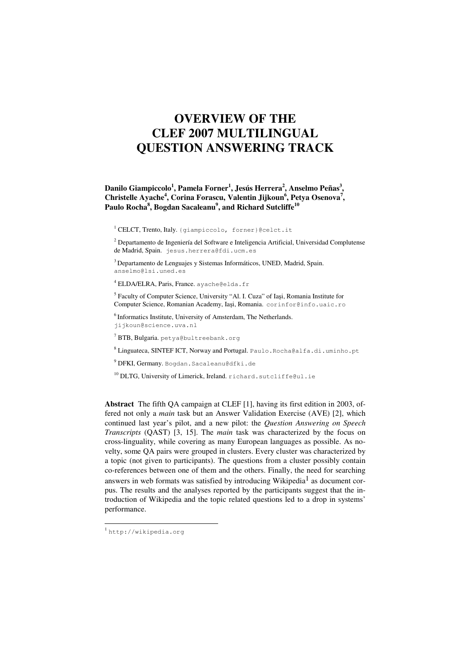# **OVERVIEW OF THE CLEF 2007 MULTILINGUAL QUESTION ANSWERING TRACK**

## **Danilo Giampiccolo<sup>1</sup> , Pamela Forner<sup>1</sup> , Jesús Herrera<sup>2</sup> , Anselmo Peñas<sup>3</sup> , Christelle Ayache<sup>4</sup> , Corina Forascu, Valentin Jijkoun<sup>6</sup> , Petya Osenova<sup>7</sup> , Paulo Rocha<sup>8</sup> , Bogdan Sacaleanu<sup>9</sup> , and Richard Sutcliffe<sup>10</sup>**

<sup>1</sup> CELCT, Trento, Italy. {giampiccolo, forner}@celct.it

 $2^{2}$  Departamento de Ingeniería del Software e Inteligencia Artificial, Universidad Complutense de Madrid, Spain. jesus.herrera@fdi.ucm.es

<sup>3</sup> Departamento de Lenguajes y Sistemas Informáticos, UNED, Madrid, Spain. anselmo@lsi.uned.es

4 ELDA/ELRA, Paris, France. ayache@elda.fr

<sup>5</sup> Faculty of Computer Science, University "Al. I. Cuza" of Iași, Romania Institute for Computer Science, Romanian Academy, Iaşi, Romania. corinfor@info.uaic.ro

 $6$ Informatics Institute, University of Amsterdam, The Netherlands.

jijkoun@science.uva.nl

 $^{7}$  BTB, Bulgaria. petya@bultreebank.org

8 Linguateca, SINTEF ICT, Norway and Portugal. Paulo.Rocha@alfa.di.uminho.pt

9 DFKI, Germany. Bogdan.Sacaleanu@dfki.de

<sup>10</sup> DLTG, University of Limerick, Ireland. richard.sutcliffe@ul.ie

**Abstract** The fifth QA campaign at CLEF [1], having its first edition in 2003, offered not only a *main* task but an Answer Validation Exercise (AVE) [2], which continued last year's pilot, and a new pilot: the *Question Answering on Speech Transcripts* (QAST) [3, 15]. The *main* task was characterized by the focus on cross-linguality, while covering as many European languages as possible. As novelty, some QA pairs were grouped in clusters. Every cluster was characterized by a topic (not given to participants). The questions from a cluster possibly contain co-references between one of them and the others. Finally, the need for searching answers in web formats was satisfied by introducing Wikipedia<sup>1</sup> as document corpus. The results and the analyses reported by the participants suggest that the introduction of Wikipedia and the topic related questions led to a drop in systems' performance.

 1 http://wikipedia.org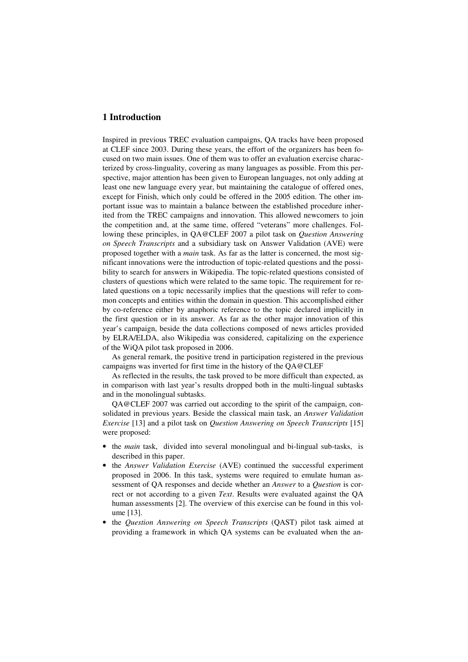## **1 Introduction**

Inspired in previous TREC evaluation campaigns, QA tracks have been proposed at CLEF since 2003. During these years, the effort of the organizers has been focused on two main issues. One of them was to offer an evaluation exercise characterized by cross-linguality, covering as many languages as possible. From this perspective, major attention has been given to European languages, not only adding at least one new language every year, but maintaining the catalogue of offered ones, except for Finish, which only could be offered in the 2005 edition. The other important issue was to maintain a balance between the established procedure inherited from the TREC campaigns and innovation. This allowed newcomers to join the competition and, at the same time, offered "veterans" more challenges. Following these principles, in QA@CLEF 2007 a pilot task on *Question Answering on Speech Transcripts* and a subsidiary task on Answer Validation (AVE) were proposed together with a *main* task. As far as the latter is concerned, the most significant innovations were the introduction of topic-related questions and the possibility to search for answers in Wikipedia. The topic-related questions consisted of clusters of questions which were related to the same topic. The requirement for related questions on a topic necessarily implies that the questions will refer to common concepts and entities within the domain in question. This accomplished either by co-reference either by anaphoric reference to the topic declared implicitly in the first question or in its answer. As far as the other major innovation of this year's campaign, beside the data collections composed of news articles provided by ELRA/ELDA, also Wikipedia was considered, capitalizing on the experience of the WiQA pilot task proposed in 2006.

As general remark, the positive trend in participation registered in the previous campaigns was inverted for first time in the history of the QA@CLEF

As reflected in the results, the task proved to be more difficult than expected, as in comparison with last year's results dropped both in the multi-lingual subtasks and in the monolingual subtasks.

QA@CLEF 2007 was carried out according to the spirit of the campaign, consolidated in previous years. Beside the classical main task, an *Answer Validation Exercise* [13] and a pilot task on *Question Answering on Speech Transcripts* [15] were proposed:

- the *main* task, divided into several monolingual and bi-lingual sub-tasks, is described in this paper.
- the *Answer Validation Exercise* (AVE) continued the successful experiment proposed in 2006. In this task, systems were required to emulate human assessment of QA responses and decide whether an *Answer* to a *Question* is correct or not according to a given *Text*. Results were evaluated against the QA human assessments [2]. The overview of this exercise can be found in this volume [13].
- the *Question Answering on Speech Transcripts* (QAST) pilot task aimed at providing a framework in which QA systems can be evaluated when the an-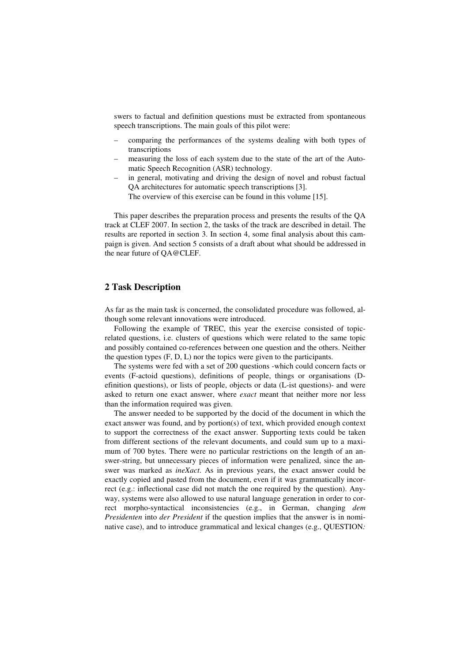swers to factual and definition questions must be extracted from spontaneous speech transcriptions. The main goals of this pilot were:

- comparing the performances of the systems dealing with both types of transcriptions
- measuring the loss of each system due to the state of the art of the Automatic Speech Recognition (ASR) technology.
- in general, motivating and driving the design of novel and robust factual QA architectures for automatic speech transcriptions [3]. The overview of this exercise can be found in this volume [15].

This paper describes the preparation process and presents the results of the QA track at CLEF 2007. In section 2, the tasks of the track are described in detail. The results are reported in section 3. In section 4, some final analysis about this campaign is given. And section 5 consists of a draft about what should be addressed in the near future of QA@CLEF.

#### **2 Task Description**

As far as the main task is concerned, the consolidated procedure was followed, although some relevant innovations were introduced.

Following the example of TREC, this year the exercise consisted of topicrelated questions, i.e. clusters of questions which were related to the same topic and possibly contained co-references between one question and the others. Neither the question types (F, D, L) nor the topics were given to the participants.

The systems were fed with a set of 200 questions -which could concern facts or events (F-actoid questions), definitions of people, things or organisations (Definition questions), or lists of people, objects or data (L-ist questions)- and were asked to return one exact answer, where *exact* meant that neither more nor less than the information required was given.

The answer needed to be supported by the docid of the document in which the exact answer was found, and by portion(s) of text, which provided enough context to support the correctness of the exact answer. Supporting texts could be taken from different sections of the relevant documents, and could sum up to a maximum of 700 bytes. There were no particular restrictions on the length of an answer-string, but unnecessary pieces of information were penalized, since the answer was marked as *ineXact*. As in previous years, the exact answer could be exactly copied and pasted from the document, even if it was grammatically incorrect (e.g.: inflectional case did not match the one required by the question). Anyway, systems were also allowed to use natural language generation in order to correct morpho-syntactical inconsistencies (e.g., in German, changing *dem Presidenten* into *der President* if the question implies that the answer is in nominative case), and to introduce grammatical and lexical changes (e.g., QUESTION*:*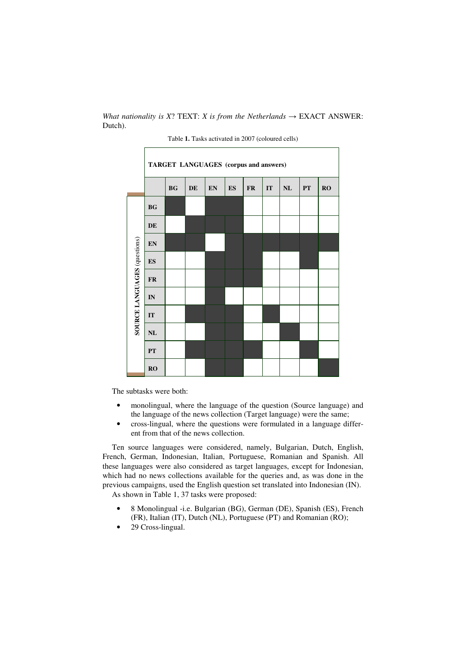*What nationality is X?* TEXT: *X is from the Netherlands*  $\rightarrow$  EXACT ANSWER: Dutch).



Table **1.** Tasks activated in 2007 (coloured cells)

The subtasks were both:

- monolingual, where the language of the question (Source language) and the language of the news collection (Target language) were the same;
- cross-lingual, where the questions were formulated in a language different from that of the news collection.

Ten source languages were considered, namely, Bulgarian, Dutch, English, French, German, Indonesian, Italian, Portuguese, Romanian and Spanish. All these languages were also considered as target languages, except for Indonesian, which had no news collections available for the queries and, as was done in the previous campaigns, used the English question set translated into Indonesian (IN).

As shown in Table 1, 37 tasks were proposed:

- 8 Monolingual -i.e. Bulgarian (BG), German (DE), Spanish (ES), French (FR), Italian (IT), Dutch (NL), Portuguese (PT) and Romanian (RO);
- 29 Cross-lingual.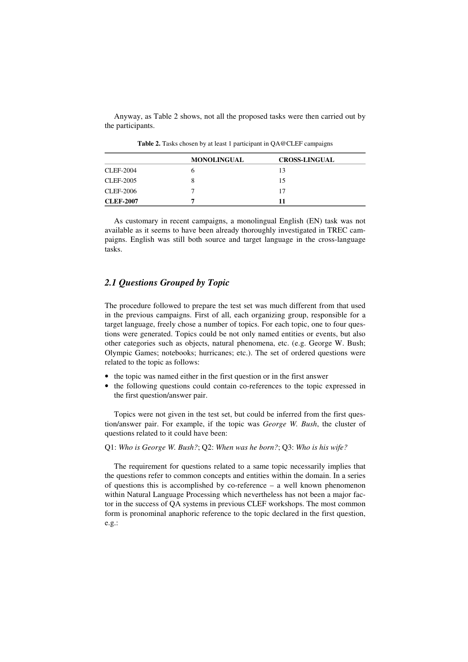Anyway, as Table 2 shows, not all the proposed tasks were then carried out by the participants.

|                  | <b>MONOLINGUAL</b> | <b>CROSS-LINGUAL</b> |
|------------------|--------------------|----------------------|
| CLEF-2004        |                    | 13                   |
| <b>CLEF-2005</b> |                    | 15                   |
| <b>CLEF-2006</b> |                    | 17                   |
| <b>CLEF-2007</b> |                    | 11                   |

**Table 2.** Tasks chosen by at least 1 participant in QA@CLEF campaigns

As customary in recent campaigns, a monolingual English (EN) task was not available as it seems to have been already thoroughly investigated in TREC campaigns. English was still both source and target language in the cross-language tasks.

## *2.1 Questions Grouped by Topic*

The procedure followed to prepare the test set was much different from that used in the previous campaigns. First of all, each organizing group, responsible for a target language, freely chose a number of topics. For each topic, one to four questions were generated. Topics could be not only named entities or events, but also other categories such as objects, natural phenomena, etc. (e.g. George W. Bush; Olympic Games; notebooks; hurricanes; etc.). The set of ordered questions were related to the topic as follows:

- the topic was named either in the first question or in the first answer
- the following questions could contain co-references to the topic expressed in the first question/answer pair.

Topics were not given in the test set, but could be inferred from the first question/answer pair. For example, if the topic was *George W. Bush*, the cluster of questions related to it could have been:

#### Q1: *Who is George W. Bush?*; Q2: *When was he born?*; Q3: *Who is his wife?*

The requirement for questions related to a same topic necessarily implies that the questions refer to common concepts and entities within the domain. In a series of questions this is accomplished by co-reference – a well known phenomenon within Natural Language Processing which nevertheless has not been a major factor in the success of QA systems in previous CLEF workshops. The most common form is pronominal anaphoric reference to the topic declared in the first question, e.g.: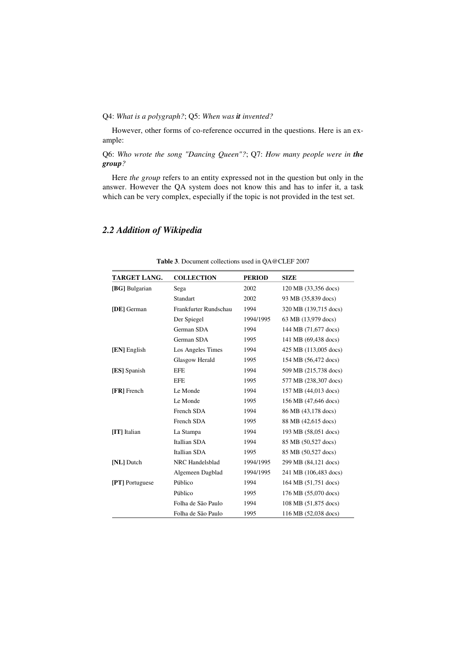Q4: *What is a polygraph?*; Q5: *When was it invented?*

However, other forms of co-reference occurred in the questions. Here is an example:

Q6: *Who wrote the song "Dancing Queen"?*; Q7: *How many people were in the group?* 

Here *the group* refers to an entity expressed not in the question but only in the answer. However the QA system does not know this and has to infer it, a task which can be very complex, especially if the topic is not provided in the test set.

## *2.2 Addition of Wikipedia*

| <b>TARGET LANG.</b> | <b>COLLECTION</b>     | <b>PERIOD</b> | <b>SIZE</b>           |  |  |
|---------------------|-----------------------|---------------|-----------------------|--|--|
| [BG] Bulgarian      | Sega                  | 2002          | 120 MB (33,356 docs)  |  |  |
|                     | <b>Standart</b>       | 2002          | 93 MB (35,839 docs)   |  |  |
| [DE] German         | Frankfurter Rundschau | 1994          | 320 MB (139,715 docs) |  |  |
|                     | Der Spiegel           | 1994/1995     | 63 MB (13,979 docs)   |  |  |
|                     | German SDA            | 1994          | 144 MB (71,677 docs)  |  |  |
|                     | German SDA            | 1995          | 141 MB (69,438 docs)  |  |  |
| [EN] English        | Los Angeles Times     | 1994          | 425 MB (113,005 docs) |  |  |
|                     | Glasgow Herald        | 1995          | 154 MB (56,472 docs)  |  |  |
| [ES] Spanish        | <b>EFE</b>            | 1994          | 509 MB (215,738 docs) |  |  |
|                     | <b>EFE</b>            | 1995          | 577 MB (238,307 docs) |  |  |
| [FR] French         | Le Monde              | 1994          | 157 MB (44,013 docs)  |  |  |
|                     | Le Monde              | 1995          | 156 MB (47,646 docs)  |  |  |
|                     | French SDA            | 1994          | 86 MB (43,178 docs)   |  |  |
|                     | French SDA            | 1995          | 88 MB (42,615 docs)   |  |  |
| [IT] Italian        | La Stampa             | 1994          | 193 MB (58,051 docs)  |  |  |
|                     | <b>Itallian SDA</b>   | 1994          | 85 MB (50,527 docs)   |  |  |
|                     | <b>Itallian SDA</b>   | 1995          | 85 MB (50,527 docs)   |  |  |
| [NL] Dutch          | NRC Handelsblad       | 1994/1995     | 299 MB (84,121 docs)  |  |  |
|                     | Algemeen Dagblad      | 1994/1995     | 241 MB (106,483 docs) |  |  |
| [PT] Portuguese     | Público               | 1994          | 164 MB (51,751 docs)  |  |  |
|                     | Público               | 1995          | 176 MB (55,070 docs)  |  |  |
|                     | Folha de São Paulo    | 1994          | 108 MB (51,875 docs)  |  |  |
|                     | Folha de São Paulo    | 1995          | 116 MB (52,038 docs)  |  |  |

**Table 3**. Document collections used in QA@CLEF 2007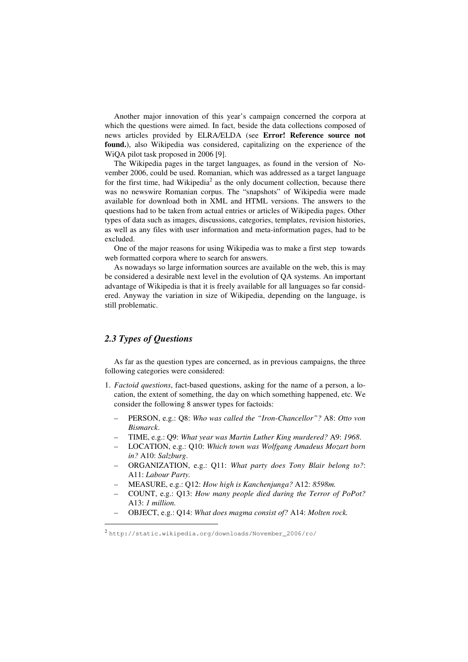Another major innovation of this year's campaign concerned the corpora at which the questions were aimed. In fact, beside the data collections composed of news articles provided by ELRA/ELDA (see **Error! Reference source not found.**), also Wikipedia was considered, capitalizing on the experience of the WiQA pilot task proposed in 2006 [9].

The Wikipedia pages in the target languages, as found in the version of November 2006, could be used. Romanian, which was addressed as a target language for the first time, had Wikipedia<sup>2</sup> as the only document collection, because there was no newswire Romanian corpus. The "snapshots" of Wikipedia were made available for download both in XML and HTML versions. The answers to the questions had to be taken from actual entries or articles of Wikipedia pages. Other types of data such as images, discussions, categories, templates, revision histories, as well as any files with user information and meta-information pages, had to be excluded.

One of the major reasons for using Wikipedia was to make a first step towards web formatted corpora where to search for answers.

As nowadays so large information sources are available on the web, this is may be considered a desirable next level in the evolution of QA systems. An important advantage of Wikipedia is that it is freely available for all languages so far considered. Anyway the variation in size of Wikipedia, depending on the language, is still problematic.

## *2.3 Types of Questions*

 $\overline{a}$ 

As far as the question types are concerned, as in previous campaigns, the three following categories were considered:

- 1. *Factoid questions*, fact-based questions, asking for the name of a person, a location, the extent of something, the day on which something happened, etc. We consider the following 8 answer types for factoids:
	- PERSON, e.g.: Q8: *Who was called the "Iron-Chancellor"?* A8: *Otto von Bismarck*.
	- TIME, e.g.: Q9: *What year was Martin Luther King murdered?* A9: *1968*.
	- LOCATION, e.g.: Q10: *Which town was Wolfgang Amadeus Mozart born in?* A10: *Salzburg*.
	- ORGANIZATION, e.g.: Q11: *What party does Tony Blair belong to?*: A11: *Labour Party.*
	- MEASURE, e.g.: Q12: *How high is Kanchenjunga?* A12: *8598m.*
	- COUNT, e.g.: Q13: *How many people died during the Terror of PoPot?*  A13: *1 million.*
	- OBJECT, e.g.: Q14: *What does magma consist of?* A14: *Molten rock.*

<sup>2</sup> http://static.wikipedia.org/downloads/November\_2006/ro/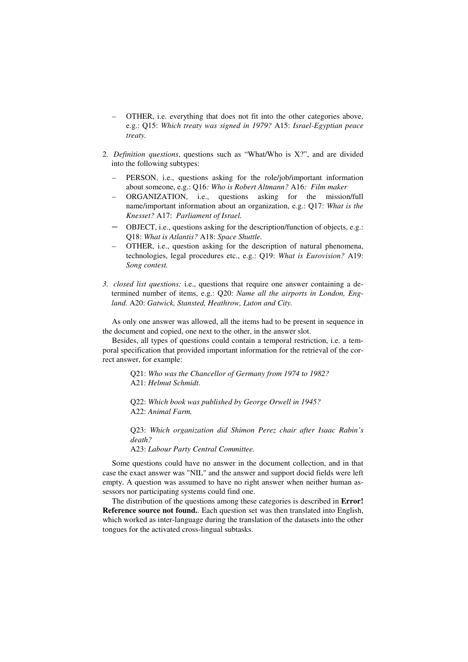- OTHER, i.e. everything that does not fit into the other categories above, e.g.: Q15: *Which treaty was signed in 1979?* A15: *Israel-Egyptian peace treaty.*
- 2. *Definition questions*, questions such as "What/Who is X?", and are divided into the following subtypes:
	- PERSON, i.e., questions asking for the role/job/important information about someone, e.g.: Q16*: Who is Robert Altmann?* A16*: Film maker*
	- ORGANIZATION, i.e., questions asking for the mission/full name/important information about an organization, e.g.: Q17: *What is the Knesset?* A17: *Parliament of Israel.*
	- OBJECT, i.e., questions asking for the description/function of objects, e.g.: Q18: *What is Atlantis?* A18: *Space Shuttle.*
	- OTHER, i.e., question asking for the description of natural phenomena, technologies, legal procedures etc., e.g.: Q19: *What is Eurovision?* A19: *Song contest.*
- *3. closed list questions:* i.e., questions that require one answer containing a determined number of items, e.g.: Q20: *Name all the airports in London, England.* A20: *Gatwick, Stansted, Heathrow, Luton and City.*

As only one answer was allowed, all the items had to be present in sequence in the document and copied, one next to the other, in the answer slot.

Besides, all types of questions could contain a temporal restriction, i.e. a temporal specification that provided important information for the retrieval of the correct answer, for example:

> Q21: *Who was the Chancellor of Germany from 1974 to 1982?*  A21: *Helmut Schmidt.*

Q22: *Which book was published by George Orwell in 1945?* A22: *Animal Farm.*

Q23: *Which organization did Shimon Perez chair after Isaac Rabin's death?*

A23: *Labour Party Central Committee.*

Some questions could have no answer in the document collection, and in that case the exact answer was "NIL" and the answer and support docid fields were left empty. A question was assumed to have no right answer when neither human assessors nor participating systems could find one.

The distribution of the questions among these categories is described in **Error! Reference source not found.**. Each question set was then translated into English, which worked as inter-language during the translation of the datasets into the other tongues for the activated cross-lingual subtasks.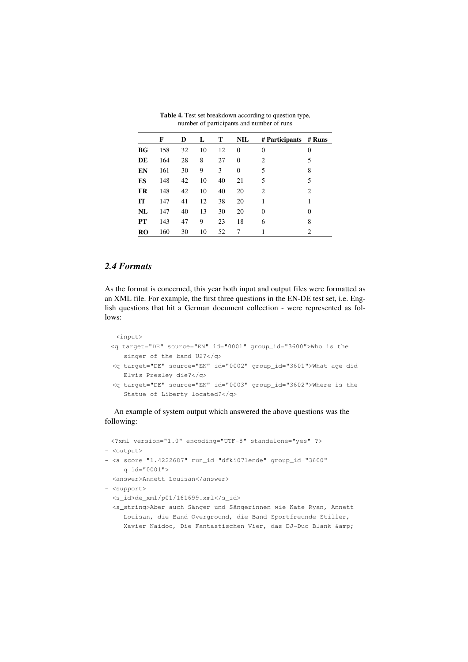|           | F   | D  | L  | т  | NIL      | # Participants | # Runs |
|-----------|-----|----|----|----|----------|----------------|--------|
| <b>BG</b> | 158 | 32 | 10 | 12 | $\Omega$ | $\theta$       | 0      |
| DE        | 164 | 28 | 8  | 27 | $\Omega$ | 2              | 5      |
| EN        | 161 | 30 | 9  | 3  | $\Omega$ | 5              | 8      |
| ES        | 148 | 42 | 10 | 40 | 21       | 5              | 5      |
| FR        | 148 | 42 | 10 | 40 | 20       | 2              | 2      |
| IT        | 147 | 41 | 12 | 38 | 20       | 1              | 1      |
| NL        | 147 | 40 | 13 | 30 | 20       | 0              | 0      |
| PT        | 143 | 47 | 9  | 23 | 18       | 6              | 8      |
| <b>RO</b> | 160 | 30 | 10 | 52 |          |                | 2      |

**Table 4.** Test set breakdown according to question type, number of participants and number of runs

# *2.4 Formats*

As the format is concerned, this year both input and output files were formatted as an XML file. For example, the first three questions in the EN-DE test set, i.e. English questions that hit a German document collection - were represented as follows:

```
- <input>
```
- <q target="DE" source="EN" id="0001" group\_id="3600">Who is the singer of the band U2?</q>
- <q target="DE" source="EN" id="0002" group\_id="3601">What age did Elvis Presley die?</q>
- <q target="DE" source="EN" id="0003" group\_id="3602">Where is the Statue of Liberty located?</q>

An example of system output which answered the above questions was the following:

<?xml version="1.0" encoding="UTF-8" standalone="yes" ?>

- <output>
- <a score="1.4222687" run\_id="dfki071ende" group\_id="3600" q\_id="0001">

<answer>Annett Louisan</answer>

- <support>

<s\_id>de\_xml/p01/161699.xml</s\_id>

 <s\_string>Aber auch Sänger und Sängerinnen wie Kate Ryan, Annett Louisan, die Band Overground, die Band Sportfreunde Stiller, Xavier Naidoo, Die Fantastischen Vier, das DJ-Duo Blank &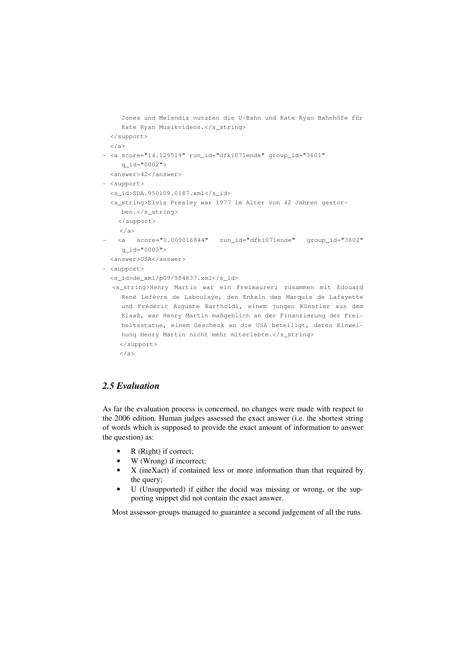```
Jones und Melendiz nutzten die U-Bahn und Kate Ryan Bahnhöfe für 
    Kate Ryan Musikvideos.</s_string>
  </support> 
 \langlea>
- <a score="14.129519" run_id="dfki071ende" group_id="3601" 
    q_id="0002"> 
  <answer>42</answer> 
- <support> 
  <s_id>SDA.950109.0187.xml</s_id> 
  <s_string>Elvis Presley war 1977 im Alter von 42 Jahren gestor-
    ben.</s_string> 
   </support> 
    \langlea>
  - <a score="0.009016844" run_id="dfki071ende" group_id="3602" 
    q_id="0003"> 
  <answer>USA</answer> 
- <support> 
  <s_id>de_xml/p09/984837.xml</s_id> 
   <s_string>Henry Martin war ein Freimaurer; zusammen mit Edouard 
    René Lefèvre de Laboulaye, den Enkeln des Marquis de Lafayette 
    und Frédéric Auguste Bartholdi, einem jungen Künstler aus dem 
    Elsaß, war Henry Martin maßgeblich an der Finanzierung der Frei-
    heitsstatue, einem Geschenk an die USA beteiligt, deren Einwei-
    hung Henry Martin nicht mehr miterlebte.</s_string>
     </support> 
    \langlea>
```
## *2.5 Evaluation*

As far the evaluation process is concerned, no changes were made with respect to the 2006 edition. Human judges assessed the exact answer (i.e. the shortest string of words which is supposed to provide the exact amount of information to answer the question) as:

- R (Right) if correct;
- W (Wrong) if incorrect;
- X (ineXact) if contained less or more information than that required by the query;
- U (Unsupported) if either the docid was missing or wrong, or the supporting snippet did not contain the exact answer.

Most assessor-groups managed to guarantee a second judgement of all the runs.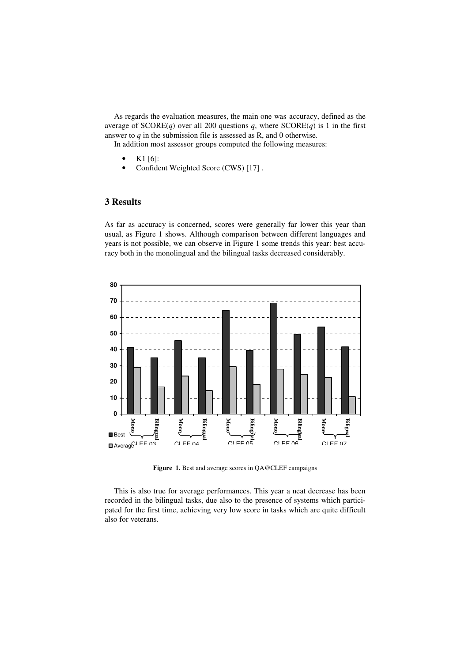As regards the evaluation measures, the main one was accuracy, defined as the average of  $SCORE(q)$  over all 200 questions q, where  $SCORE(q)$  is 1 in the first answer to *q* in the submission file is assessed as R, and 0 otherwise.

In addition most assessor groups computed the following measures:

- K1 [6]:
- Confident Weighted Score (CWS) [17] .

## **3 Results**

As far as accuracy is concerned, scores were generally far lower this year than usual, as Figure 1 shows. Although comparison between different languages and years is not possible, we can observe in Figure 1 some trends this year: best accuracy both in the monolingual and the bilingual tasks decreased considerably.



**Figure 1.** Best and average scores in QA@CLEF campaigns

This is also true for average performances. This year a neat decrease has been recorded in the bilingual tasks, due also to the presence of systems which participated for the first time, achieving very low score in tasks which are quite difficult also for veterans.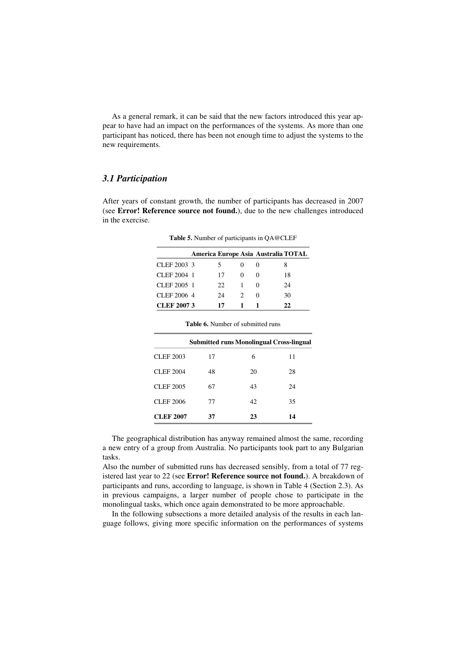As a general remark, it can be said that the new factors introduced this year appear to have had an impact on the performances of the systems. As more than one participant has noticed, there has been not enough time to adjust the systems to the new requirements.

## *3.1 Participation*

After years of constant growth, the number of participants has decreased in 2007 (see **Error! Reference source not found.**), due to the new challenges introduced in the exercise.

**Table 5.** Number of participants in QA@CLEF

|                    |    |               | America Europe Asia Australia TOTAL |    |
|--------------------|----|---------------|-------------------------------------|----|
| CLEF 2003 3        |    |               |                                     |    |
| CLEF 2004 1        | 17 |               |                                     | 18 |
| CLEF 2005 1        | 22 |               |                                     | 24 |
| CLEF 2006 4        | 24 | $\mathcal{D}$ |                                     | 30 |
| <b>CLEF 2007 3</b> | 17 |               |                                     | 22 |

|                  | <b>Submitted runs Monolingual Cross-lingual</b> |    |    |
|------------------|-------------------------------------------------|----|----|
| <b>CLEF 2003</b> | 17                                              | 6  | 11 |
| <b>CLEF 2004</b> | 48                                              | 20 | 28 |
| <b>CLEF 2005</b> | 67                                              | 43 | 24 |
| <b>CLEF 2006</b> | 77                                              | 42 | 35 |
| <b>CLEF 2007</b> | 37                                              | 23 | 14 |

**Table 6.** Number of submitted runs

The geographical distribution has anyway remained almost the same, recording a new entry of a group from Australia. No participants took part to any Bulgarian tasks.

Also the number of submitted runs has decreased sensibly, from a total of 77 registered last year to 22 (see **Error! Reference source not found.**). A breakdown of participants and runs, according to language, is shown in Table 4 (Section 2.3). As in previous campaigns, a larger number of people chose to participate in the monolingual tasks, which once again demonstrated to be more approachable.

In the following subsections a more detailed analysis of the results in each language follows, giving more specific information on the performances of systems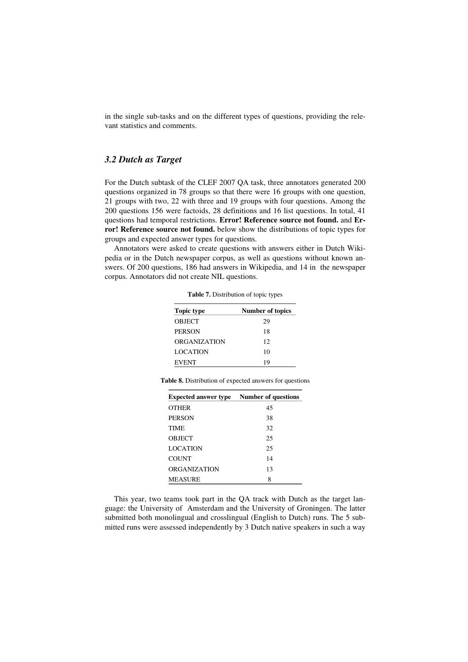in the single sub-tasks and on the different types of questions, providing the relevant statistics and comments.

## *3.2 Dutch as Target*

For the Dutch subtask of the CLEF 2007 QA task, three annotators generated 200 questions organized in 78 groups so that there were 16 groups with one question, 21 groups with two, 22 with three and 19 groups with four questions. Among the 200 questions 156 were factoids, 28 definitions and 16 list questions. In total, 41 questions had temporal restrictions. **Error! Reference source not found.** and **Error! Reference source not found.** below show the distributions of topic types for groups and expected answer types for questions.

Annotators were asked to create questions with answers either in Dutch Wikipedia or in the Dutch newspaper corpus, as well as questions without known answers. Of 200 questions, 186 had answers in Wikipedia, and 14 in the newspaper corpus. Annotators did not create NIL questions.

| <b>Topic type</b> | Number of topics |
|-------------------|------------------|
| <b>OBJECT</b>     | 29               |
| <b>PERSON</b>     | 18               |
| ORGANIZATION      | 12               |
| <b>LOCATION</b>   | 10               |
| <b>EVENT</b>      | 19               |

**Table 7.** Distribution of topic types

**Table 8.** Distribution of expected answers for questions

| <b>Expected answer type</b> | Number of questions |
|-----------------------------|---------------------|
| <b>OTHER</b>                | 45                  |
| <b>PERSON</b>               | 38                  |
| <b>TIME</b>                 | 32                  |
| <b>OBJECT</b>               | 25                  |
| <b>LOCATION</b>             | 25                  |
| <b>COUNT</b>                | 14                  |
| <b>ORGANIZATION</b>         | 13                  |
| <b>MEASURE</b>              | 8                   |

This year, two teams took part in the QA track with Dutch as the target language: the University of Amsterdam and the University of Groningen. The latter submitted both monolingual and crosslingual (English to Dutch) runs. The 5 submitted runs were assessed independently by 3 Dutch native speakers in such a way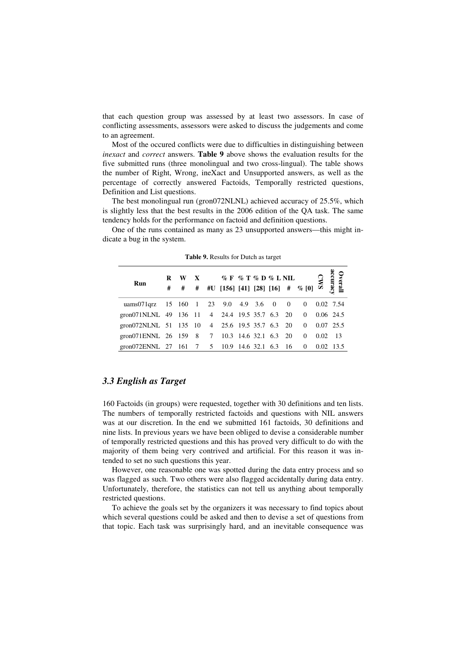that each question group was assessed by at least two assessors. In case of conflicting assessments, assessors were asked to discuss the judgements and come to an agreement.

Most of the occured conflicts were due to difficulties in distinguishing between *inexact* and *correct* answers. **Table 9** above shows the evaluation results for the five submitted runs (three monolingual and two cross-lingual). The table shows the number of Right, Wrong, ineXact and Unsupported answers, as well as the percentage of correctly answered Factoids, Temporally restricted questions, Definition and List questions.

The best monolingual run (gron072NLNL) achieved accuracy of 25.5%, which is slightly less that the best results in the 2006 edition of the QA task. The same tendency holds for the performance on factoid and definition questions.

One of the runs contained as many as 23 unsupported answers—this might indicate a bug in the system.

| Run                                                       | R<br># | # | $W - X$<br># | $\%$ F $\%$ T $\%$ D $\%$ L NIL |  |  | #U [156] [41] [28] [16] # % [0] | $\mathbf{s}$ | Overall<br>accuracy       |
|-----------------------------------------------------------|--------|---|--------------|---------------------------------|--|--|---------------------------------|--------------|---------------------------|
| uams071qrz 15 160 1 23 9.0 4.9 3.6 0 0                    |        |   |              |                                 |  |  |                                 |              | $0 \quad 0.02 \quad 7.54$ |
| gron071NLNL 49 136 11 4 24.4 19.5 35.7 6.3 20 0           |        |   |              |                                 |  |  |                                 |              | $0.06$ 24.5               |
| gron072NLNL 51 135 10 4 25.6 19.5 35.7 6.3 20 0 0.07 25.5 |        |   |              |                                 |  |  |                                 |              |                           |
| gron071ENNL 26 159 8 7 10.3 14.6 32.1 6.3 20              |        |   |              |                                 |  |  | $\Omega$                        | 0.02         | -13                       |
| gron072ENNL 27 161 7 5 10.9 14.6 32.1 6.3 16 0 0.02 13.5  |        |   |              |                                 |  |  |                                 |              |                           |

**Table 9.** Results for Dutch as target

## *3.3 English as Target*

160 Factoids (in groups) were requested, together with 30 definitions and ten lists. The numbers of temporally restricted factoids and questions with NIL answers was at our discretion. In the end we submitted 161 factoids, 30 definitions and nine lists. In previous years we have been obliged to devise a considerable number of temporally restricted questions and this has proved very difficult to do with the majority of them being very contrived and artificial. For this reason it was intended to set no such questions this year.

However, one reasonable one was spotted during the data entry process and so was flagged as such. Two others were also flagged accidentally during data entry. Unfortunately, therefore, the statistics can not tell us anything about temporally restricted questions.

To achieve the goals set by the organizers it was necessary to find topics about which several questions could be asked and then to devise a set of questions from that topic. Each task was surprisingly hard, and an inevitable consequence was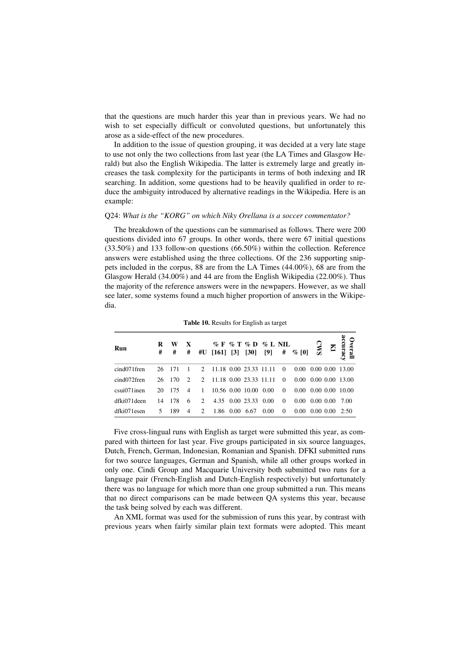that the questions are much harder this year than in previous years. We had no wish to set especially difficult or convoluted questions, but unfortunately this arose as a side-effect of the new procedures.

In addition to the issue of question grouping, it was decided at a very late stage to use not only the two collections from last year (the LA Times and Glasgow Herald) but also the English Wikipedia. The latter is extremely large and greatly increases the task complexity for the participants in terms of both indexing and IR searching. In addition, some questions had to be heavily qualified in order to reduce the ambiguity introduced by alternative readings in the Wikipedia. Here is an example:

#### Q24: *What is the "KORG" on which Niky Orellana is a soccer commentator?*

The breakdown of the questions can be summarised as follows. There were 200 questions divided into 67 groups. In other words, there were 67 initial questions (33.50%) and 133 follow-on questions (66.50%) within the collection. Reference answers were established using the three collections. Of the 236 supporting snippets included in the corpus, 88 are from the LA Times (44.00%), 68 are from the Glasgow Herald (34.00%) and 44 are from the English Wikipedia (22.00%). Thus the majority of the reference answers were in the newpapers. However, as we shall see later, some systems found a much higher proportion of answers in the Wikipedia.

| Run            | R<br># | W<br># | X<br>#         | #U           |                                                 | $\%$ F $\%$ T $\%$ D $\%$ L NIL<br>$[161]$ $[3]$ $[30]$ $[9]$ |      |                | # $%$ [0]                | CWS | Σ         | Overall<br>accuracy                      |
|----------------|--------|--------|----------------|--------------|-------------------------------------------------|---------------------------------------------------------------|------|----------------|--------------------------|-----|-----------|------------------------------------------|
| cind071fren    |        | 26 171 | $\overline{1}$ |              | 2 11.18 0.00 23.33 11.11 0 0.00 0.00 0.00 13.00 |                                                               |      |                |                          |     |           |                                          |
| cind072fren    |        | 26 170 | $\overline{2}$ |              | 2 11.18 0.00 23.33 11.11                        |                                                               |      |                | $0$ 0.00 0.00 0.00 13.00 |     |           |                                          |
| $csui071$ inen |        | 20 175 | $\overline{4}$ | $\mathbf{1}$ | 10.56 0.00 10.00 0.00                           |                                                               |      | $\overline{0}$ |                          |     |           | $0.00 \quad 0.00 \quad 0.00 \quad 10.00$ |
| dfki071deen    |        | 14 178 | - 6            | 2            |                                                 | 4.35 0.00 23.33 0.00                                          |      |                | $0$ 0.00 0.00 0.00 7.00  |     |           |                                          |
| dfki071esen    | 5      | 189    | $\overline{4}$ | $2^{\circ}$  |                                                 | 1.86 0.00 6.67                                                | 0.00 | $\Omega$       | 0.00 <sub>1</sub>        |     | 0.00 0.00 | 2:50                                     |

**Table 10.** Results for English as target

Five cross-lingual runs with English as target were submitted this year, as compared with thirteen for last year. Five groups participated in six source languages, Dutch, French, German, Indonesian, Romanian and Spanish. DFKI submitted runs for two source languages, German and Spanish, while all other groups worked in only one. Cindi Group and Macquarie University both submitted two runs for a language pair (French-English and Dutch-English respectively) but unfortunately there was no language for which more than one group submitted a run. This means that no direct comparisons can be made between QA systems this year, because the task being solved by each was different.

An XML format was used for the submission of runs this year, by contrast with previous years when fairly similar plain text formats were adopted. This meant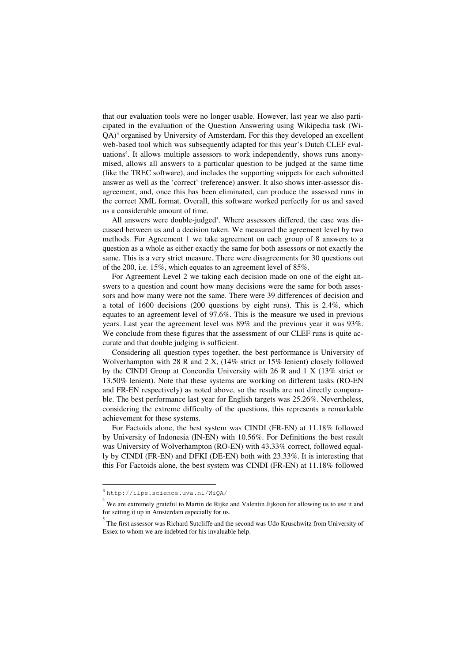that our evaluation tools were no longer usable. However, last year we also participated in the evaluation of the Question Answering using Wikipedia task (Wi-QA)<sup>3</sup> organised by University of Amsterdam. For this they developed an excellent web-based tool which was subsequently adapted for this year's Dutch CLEF evaluations<sup>4</sup>. It allows multiple assessors to work independently, shows runs anonymised, allows all answers to a particular question to be judged at the same time (like the TREC software), and includes the supporting snippets for each submitted answer as well as the 'correct' (reference) answer. It also shows inter-assessor disagreement, and, once this has been eliminated, can produce the assessed runs in the correct XML format. Overall, this software worked perfectly for us and saved us a considerable amount of time.

All answers were double-judged<sup>5</sup>. Where assessors differed, the case was discussed between us and a decision taken. We measured the agreement level by two methods. For Agreement 1 we take agreement on each group of 8 answers to a question as a whole as either exactly the same for both assessors or not exactly the same. This is a very strict measure. There were disagreements for 30 questions out of the 200, i.e. 15%, which equates to an agreement level of 85%.

For Agreement Level 2 we taking each decision made on one of the eight answers to a question and count how many decisions were the same for both assessors and how many were not the same. There were 39 differences of decision and a total of 1600 decisions (200 questions by eight runs). This is 2.4%, which equates to an agreement level of 97.6%. This is the measure we used in previous years. Last year the agreement level was 89% and the previous year it was 93%. We conclude from these figures that the assessment of our CLEF runs is quite accurate and that double judging is sufficient.

Considering all question types together, the best performance is University of Wolverhampton with 28 R and 2 X,  $(14\%$  strict or  $15\%$  lenient) closely followed by the CINDI Group at Concordia University with 26 R and 1 X (13% strict or 13.50% lenient). Note that these systems are working on different tasks (RO-EN and FR-EN respectively) as noted above, so the results are not directly comparable. The best performance last year for English targets was 25.26%. Nevertheless, considering the extreme difficulty of the questions, this represents a remarkable achievement for these systems.

For Factoids alone, the best system was CINDI (FR-EN) at 11.18% followed by University of Indonesia (IN-EN) with 10.56%. For Definitions the best result was University of Wolverhampton (RO-EN) with 43.33% correct, followed equally by CINDI (FR-EN) and DFKI (DE-EN) both with 23.33%. It is interesting that this For Factoids alone, the best system was CINDI (FR-EN) at 11.18% followed

l

<sup>3</sup> http://ilps.science.uva.nl/WiQA/

<sup>4</sup> We are extremely grateful to Martin de Rijke and Valentin Jijkoun for allowing us to use it and for setting it up in Amsterdam especially for us.

<sup>&</sup>lt;sup>5</sup> The first assessor was Richard Sutcliffe and the second was Udo Kruschwitz from University of Essex to whom we are indebted for his invaluable help.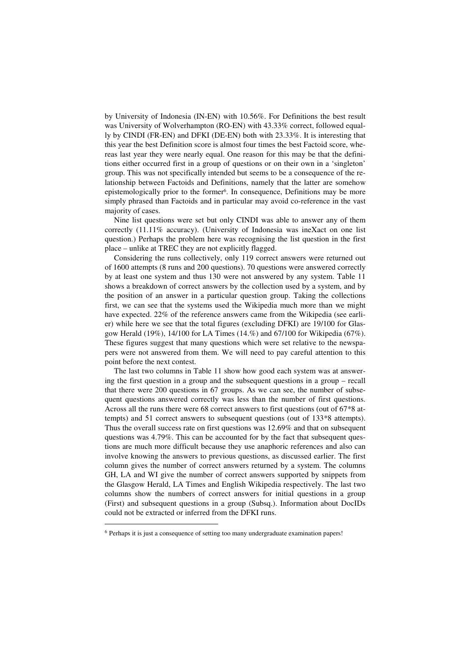by University of Indonesia (IN-EN) with 10.56%. For Definitions the best result was University of Wolverhampton (RO-EN) with 43.33% correct, followed equally by CINDI (FR-EN) and DFKI (DE-EN) both with 23.33%. It is interesting that this year the best Definition score is almost four times the best Factoid score, whereas last year they were nearly equal. One reason for this may be that the definitions either occurred first in a group of questions or on their own in a 'singleton' group. This was not specifically intended but seems to be a consequence of the relationship between Factoids and Definitions, namely that the latter are somehow epistemologically prior to the former<sup>6</sup>. In consequence, Definitions may be more simply phrased than Factoids and in particular may avoid co-reference in the vast majority of cases.

Nine list questions were set but only CINDI was able to answer any of them correctly (11.11% accuracy). (University of Indonesia was ineXact on one list question.) Perhaps the problem here was recognising the list question in the first place – unlike at TREC they are not explicitly flagged.

Considering the runs collectively, only 119 correct answers were returned out of 1600 attempts (8 runs and 200 questions). 70 questions were answered correctly by at least one system and thus 130 were not answered by any system. Table 11 shows a breakdown of correct answers by the collection used by a system, and by the position of an answer in a particular question group. Taking the collections first, we can see that the systems used the Wikipedia much more than we might have expected. 22% of the reference answers came from the Wikipedia (see earlier) while here we see that the total figures (excluding DFKI) are 19/100 for Glasgow Herald (19%), 14/100 for LA Times (14.%) and 67/100 for Wikipedia (67%). These figures suggest that many questions which were set relative to the newspapers were not answered from them. We will need to pay careful attention to this point before the next contest.

The last two columns in Table 11 show how good each system was at answering the first question in a group and the subsequent questions in a group – recall that there were 200 questions in 67 groups. As we can see, the number of subsequent questions answered correctly was less than the number of first questions. Across all the runs there were 68 correct answers to first questions (out of 67\*8 attempts) and 51 correct answers to subsequent questions (out of 133\*8 attempts). Thus the overall success rate on first questions was 12.69% and that on subsequent questions was 4.79%. This can be accounted for by the fact that subsequent questions are much more difficult because they use anaphoric references and also can involve knowing the answers to previous questions, as discussed earlier. The first column gives the number of correct answers returned by a system. The columns GH, LA and WI give the number of correct answers supported by snippets from the Glasgow Herald, LA Times and English Wikipedia respectively. The last two columns show the numbers of correct answers for initial questions in a group (First) and subsequent questions in a group (Subsq.). Information about DocIDs could not be extracted or inferred from the DFKI runs.

 $\overline{a}$ 

<sup>6</sup> Perhaps it is just a consequence of setting too many undergraduate examination papers!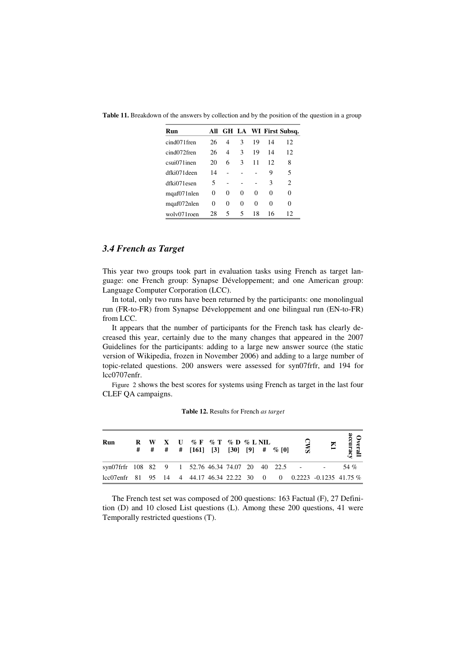| Run            | All |   |   |    |    | GH LA WI First Subsq. |
|----------------|-----|---|---|----|----|-----------------------|
| cind071fren    | 26  | 4 | 3 | 19 | 14 | 12                    |
| cind072fren    | 26  | 4 | 3 | 19 | 14 | 12                    |
| $csui071$ inen | 20  | 6 | 3 | 11 | 12 | 8                     |
| dfki071deen    | 14  |   |   |    | 9  | 5                     |
| dfki071esen    | 5   |   |   |    | 3  | 2                     |
| mqaf071nlen    | 0   | 0 | 0 | 0  | 0  | 0                     |
| mgaf072nlen    | 0   | 0 | 0 | 0  | 0  | 0                     |
| wolv071roen    | 28  | 5 | 5 | 18 | 16 | 12                    |

Table 11. Breakdown of the answers by collection and by the position of the question in a group

## *3.4 French as Target*

This year two groups took part in evaluation tasks using French as target language: one French group: Synapse Développement; and one American group: Language Computer Corporation (LCC).

In total, only two runs have been returned by the participants: one monolingual run (FR-to-FR) from Synapse Développement and one bilingual run (EN-to-FR) from LCC.

It appears that the number of participants for the French task has clearly decreased this year, certainly due to the many changes that appeared in the 2007 Guidelines for the participants: adding to a large new answer source (the static version of Wikipedia, frozen in November 2006) and adding to a large number of topic-related questions. 200 answers were assessed for syn07frfr, and 194 for lcc0707enfr.

Figure 2 shows the best scores for systems using French as target in the last four CLEF QA campaigns.

| Run                                                                    |  |  | R W X U %F %T %D %LNIL<br># # # # $[161]$ $[3]$ $[30]$ $[9]$ # % $[0]$ |  |  | CWS | Σ | Overall<br>accuracy |
|------------------------------------------------------------------------|--|--|------------------------------------------------------------------------|--|--|-----|---|---------------------|
| syn07frfr 108 82 9 1 52.76 46.34 74.07 20 40 22.5 -                    |  |  |                                                                        |  |  |     |   | 54 %                |
| $lcc07enfr$ 81 95 14 4 44.17 46.34 22.22 30 0 0 0.2223 -0.1235 41.75 % |  |  |                                                                        |  |  |     |   |                     |

**Table 12.** Results for French *as target*

The French test set was composed of 200 questions: 163 Factual (F), 27 Definition (D) and 10 closed List questions (L). Among these 200 questions, 41 were Temporally restricted questions (T).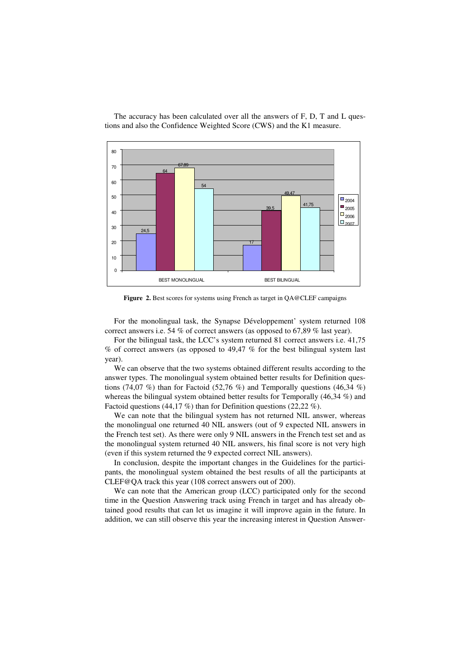

The accuracy has been calculated over all the answers of F, D, T and L questions and also the Confidence Weighted Score (CWS) and the K1 measure.

**Figure 2.** Best scores for systems using French as target in QA@CLEF campaigns

For the monolingual task, the Synapse Développement' system returned 108 correct answers i.e. 54 % of correct answers (as opposed to 67,89 % last year).

For the bilingual task, the LCC's system returned 81 correct answers i.e. 41,75 % of correct answers (as opposed to 49,47 % for the best bilingual system last year).

We can observe that the two systems obtained different results according to the answer types. The monolingual system obtained better results for Definition questions (74,07 %) than for Factoid (52,76 %) and Temporally questions (46,34 %) whereas the bilingual system obtained better results for Temporally (46,34 %) and Factoid questions (44,17 %) than for Definition questions (22,22 %).

We can note that the bilingual system has not returned NIL answer, whereas the monolingual one returned 40 NIL answers (out of 9 expected NIL answers in the French test set). As there were only 9 NIL answers in the French test set and as the monolingual system returned 40 NIL answers, his final score is not very high (even if this system returned the 9 expected correct NIL answers).

In conclusion, despite the important changes in the Guidelines for the participants, the monolingual system obtained the best results of all the participants at CLEF@QA track this year (108 correct answers out of 200).

We can note that the American group (LCC) participated only for the second time in the Question Answering track using French in target and has already obtained good results that can let us imagine it will improve again in the future. In addition, we can still observe this year the increasing interest in Question Answer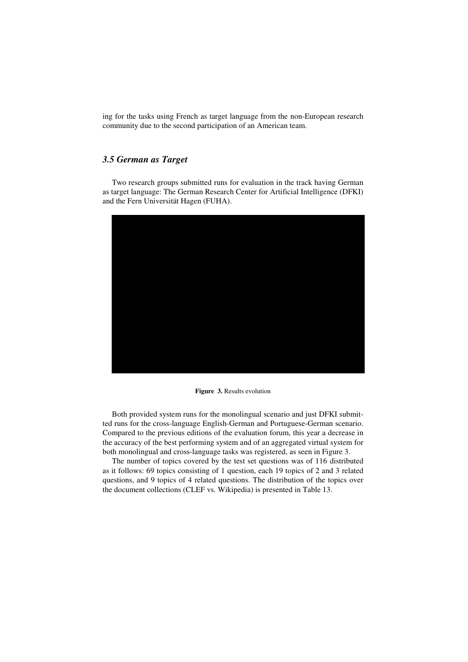ing for the tasks using French as target language from the non-European research community due to the second participation of an American team.

## *3.5 German as Target*

Two research groups submitted runs for evaluation in the track having German as target language: The German Research Center for Artificial Intelligence (DFKI) and the Fern Universität Hagen (FUHA).



**Figure 3.** Results evolution

Both provided system runs for the monolingual scenario and just DFKI submitted runs for the cross-language English-German and Portuguese-German scenario. Compared to the previous editions of the evaluation forum, this year a decrease in the accuracy of the best performing system and of an aggregated virtual system for both monolingual and cross-language tasks was registered, as seen in Figure 3.

The number of topics covered by the test set questions was of 116 distributed as it follows: 69 topics consisting of 1 question, each 19 topics of 2 and 3 related questions, and 9 topics of 4 related questions. The distribution of the topics over the document collections (CLEF vs. Wikipedia) is presented in Table 13.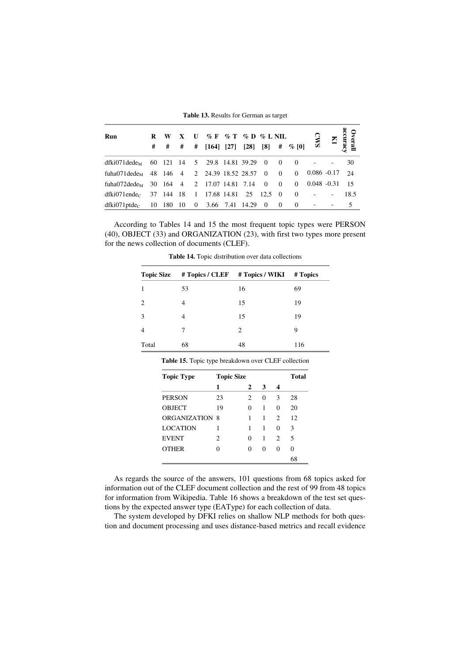**Table 13.** Results for German as target

| Run                                                                       | R | W | X. | $\mathbf{U}$ |  | $\%$ F $\%$ T $\%$ D $\%$ LNIL |  |                                     | G                                 |                              | <b>Overall</b><br>accuracy |
|---------------------------------------------------------------------------|---|---|----|--------------|--|--------------------------------|--|-------------------------------------|-----------------------------------|------------------------------|----------------------------|
|                                                                           | # | # | #  |              |  |                                |  | $\#$ [164] [27] [28] [8] $\#$ % [0] | $\mathbf{\hat{s}}$                |                              |                            |
| dfki071dede <sub>M</sub> 60 121 14 5 29.8 14.81 39.29 0 0                 |   |   |    |              |  |                                |  | $\overline{0}$                      |                                   |                              | 30                         |
| fuha071dede <sub>M</sub> 48 146 4 2 24.39 18.52 28.57 0 0                 |   |   |    |              |  |                                |  |                                     |                                   | $0\quad 0.086\ 0.17\quad 24$ |                            |
| fuha072dede <sub>M</sub> 30 164 4 2 17.07 14.81 7.14 0 0 0 0.048 -0.31 15 |   |   |    |              |  |                                |  |                                     |                                   |                              |                            |
| dfki071ende <sub>c</sub> 37 144 18 1 17.68 14.81 25 12.5 0                |   |   |    |              |  |                                |  | $\overline{0}$                      |                                   |                              | 18.5                       |
| dfki071ptde <sub>C</sub> 10 180 10 0 3.66 7.41 14.29 0 0 0                |   |   |    |              |  |                                |  |                                     | <b>Contract Contract Contract</b> |                              | 5                          |

According to Tables 14 and 15 the most frequent topic types were PERSON (40), OBJECT (33) and ORGANIZATION (23), with first two types more present for the news collection of documents (CLEF).

| <b>Topic Size</b> | # Topics / CLEF | # Topics / WIKI        | # Topics |
|-------------------|-----------------|------------------------|----------|
| 1                 | 53              | 16                     | 69       |
| 2                 | 4               | 15                     | 19       |
| 3                 | 4               | 15                     | 19       |
| $\overline{4}$    |                 | $\mathfrak{D}_{\cdot}$ | 9        |
| Total             | 68              | 48                     | 116      |

**Table 14.** Topic distribution over data collections

| <b>Topic Type</b> | <b>Topic Size</b> |   |          |                | Total |
|-------------------|-------------------|---|----------|----------------|-------|
|                   | 1                 | 2 | 3        | 4              |       |
| <b>PERSON</b>     | 23                | 2 | $\Omega$ | 3              | 28    |
| <b>OBJECT</b>     | 19                | 0 | 1        | $\Omega$       | 20    |
| ORGANIZATION 8    |                   | 1 | 1        | $\mathfrak{D}$ | 12    |
| <b>LOCATION</b>   | 1                 | 1 | 1        | $\Omega$       | 3     |
| <b>EVENT</b>      | 2                 | 0 | 1        | $\mathfrak{D}$ | 5     |
| <b>OTHER</b>      | 0                 |   | 0        | 0              | 0     |
|                   |                   |   |          |                | 68    |

As regards the source of the answers, 101 questions from 68 topics asked for information out of the CLEF document collection and the rest of 99 from 48 topics for information from Wikipedia. Table 16 shows a breakdown of the test set questions by the expected answer type (EAType) for each collection of data.

The system developed by DFKI relies on shallow NLP methods for both question and document processing and uses distance-based metrics and recall evidence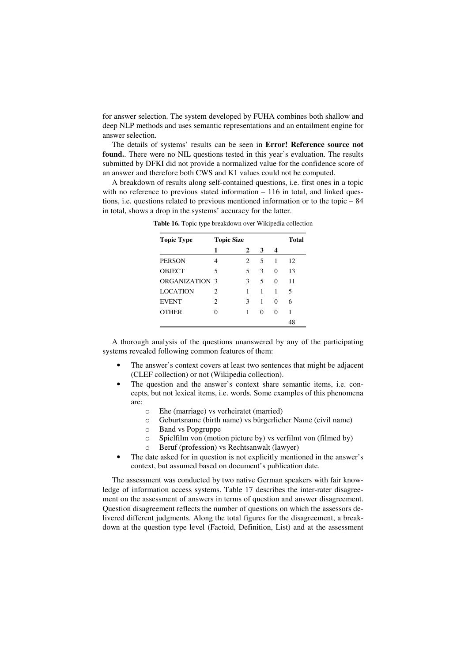for answer selection. The system developed by FUHA combines both shallow and deep NLP methods and uses semantic representations and an entailment engine for answer selection.

The details of systems' results can be seen in **Error! Reference source not found.**. There were no NIL questions tested in this year's evaluation. The results submitted by DFKI did not provide a normalized value for the confidence score of an answer and therefore both CWS and K1 values could not be computed.

A breakdown of results along self-contained questions, i.e. first ones in a topic with no reference to previous stated information  $-116$  in total, and linked questions, i.e. questions related to previous mentioned information or to the topic – 84 in total, shows a drop in the systems' accuracy for the latter.

| <b>Topic Type</b> | <b>Topic Size</b> | <b>Total</b> |   |          |    |
|-------------------|-------------------|--------------|---|----------|----|
|                   | 1                 | 2            | 3 | 4        |    |
| <b>PERSON</b>     | 4                 | 2            | 5 | 1        | 12 |
| <b>OBJECT</b>     | 5                 | 5            | 3 | $\Omega$ | 13 |
| ORGANIZATION 3    |                   | 3            | 5 | $\Omega$ | 11 |
| <b>LOCATION</b>   | 2                 | 1            | 1 | 1        | 5  |
| <b>EVENT</b>      | $\mathfrak{D}$    | 3            | 1 | 0        | 6  |
| <b>OTHER</b>      | 0                 | 1            | 0 | 0        | 1  |
|                   |                   |              |   |          | 48 |

**Table 16.** Topic type breakdown over Wikipedia collection

A thorough analysis of the questions unanswered by any of the participating systems revealed following common features of them:

- The answer's context covers at least two sentences that might be adjacent (CLEF collection) or not (Wikipedia collection).
- The question and the answer's context share semantic items, i.e. concepts, but not lexical items, i.e. words. Some examples of this phenomena are:
	- o Ehe (marriage) vs verheiratet (married)
	- o Geburtsname (birth name) vs bürgerlicher Name (civil name)
	- o Band vs Popgruppe
	- o Spielfilm von (motion picture by) vs verfilmt von (filmed by)
	- o Beruf (profession) vs Rechtsanwalt (lawyer)
- The date asked for in question is not explicitly mentioned in the answer's context, but assumed based on document's publication date.

The assessment was conducted by two native German speakers with fair knowledge of information access systems. Table 17 describes the inter-rater disagreement on the assessment of answers in terms of question and answer disagreement. Question disagreement reflects the number of questions on which the assessors delivered different judgments. Along the total figures for the disagreement, a breakdown at the question type level (Factoid, Definition, List) and at the assessment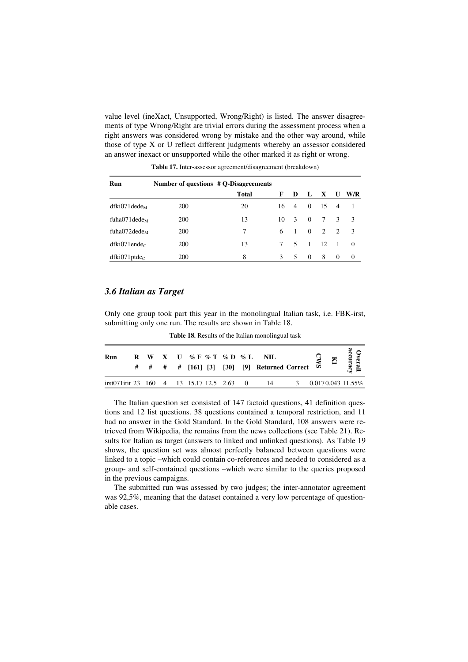value level (ineXact, Unsupported, Wrong/Right) is listed. The answer disagreements of type Wrong/Right are trivial errors during the assessment process when a right answers was considered wrong by mistake and the other way around, while those of type X or U reflect different judgments whereby an assessor considered an answer inexact or unsupported while the other marked it as right or wrong.

| Run                          | Number of questions # Q-Disagreements |              |               |                |                |              |                |               |
|------------------------------|---------------------------------------|--------------|---------------|----------------|----------------|--------------|----------------|---------------|
|                              |                                       | <b>Total</b> | F             | D              | L              | X            | U              | W/R           |
| $dfki071$ dede <sub>M</sub>  | 200                                   | 20           | 16            | $\overline{4}$ |                | $0 \t15 \t4$ |                |               |
| fuha $071$ dede <sub>M</sub> | 200                                   | 13           | 10            | $\mathcal{E}$  | $\overline{0}$ | 7            | $\mathcal{E}$  | - 3           |
| fuha $072$ dede <sub>M</sub> | 200                                   | 7            | 6             | $\overline{1}$ | $\overline{0}$ | 2            | $\overline{2}$ | $\mathcal{R}$ |
| $dfki071$ ende <sub>c</sub>  | 200                                   | 13           | 7             | 5              | $\overline{1}$ | 12.          | $\overline{1}$ | $\Omega$      |
| $d$ fki071ptde <sub>C</sub>  | 200                                   | 8            | $\mathcal{L}$ | 5              | $\Omega$       | 8            | $\Omega$       | 0             |

**Table 17.** Inter-assessor agreement/disagreement (breakdown)

## *3.6 Italian as Target*

Only one group took part this year in the monolingual Italian task, i.e. FBK-irst, submitting only one run. The results are shown in Table 18.

**Table 18.** Results of the Italian monolingual task

| Run                                                              |  | R W X U %F %T %D %L NIL<br># # # [161] [3] [30] [9] Returned Correct $\circ$ |  |  |  | ) verall<br>curac |
|------------------------------------------------------------------|--|------------------------------------------------------------------------------|--|--|--|-------------------|
| irst071itit 23 160 4 13 15.17 12.5 2.63 0 14 3 0.0170.043 11.55% |  |                                                                              |  |  |  |                   |

The Italian question set consisted of 147 factoid questions, 41 definition questions and 12 list questions. 38 questions contained a temporal restriction, and 11 had no answer in the Gold Standard. In the Gold Standard, 108 answers were retrieved from Wikipedia, the remains from the news collections (see Table 21). Results for Italian as target (answers to linked and unlinked questions). As Table 19 shows, the question set was almost perfectly balanced between questions were linked to a topic –which could contain co-references and needed to considered as a group- and self-contained questions –which were similar to the queries proposed in the previous campaigns.

The submitted run was assessed by two judges; the inter-annotator agreement was 92,5%, meaning that the dataset contained a very low percentage of questionable cases.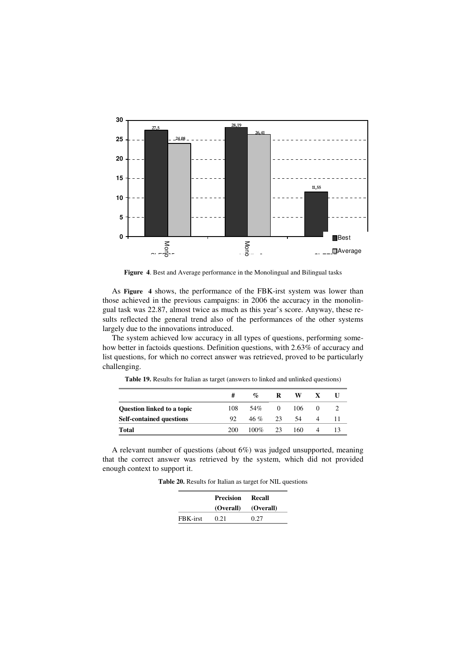

**Figure 4**. Best and Average performance in the Monolingual and Bilingual tasks

As **Figure 4** shows, the performance of the FBK-irst system was lower than those achieved in the previous campaigns: in 2006 the accuracy in the monolingual task was 22.87, almost twice as much as this year's score. Anyway, these results reflected the general trend also of the performances of the other systems largely due to the innovations introduced.

The system achieved low accuracy in all types of questions, performing somehow better in factoids questions. Definition questions, with 2.63% of accuracy and list questions, for which no correct answer was retrieved, proved to be particularly challenging.

|                                   | #   | $\%$    | R        | W   |            |    |
|-----------------------------------|-----|---------|----------|-----|------------|----|
| <b>Question linked to a topic</b> | 108 | 54%     | $\Omega$ | 106 | $^{\circ}$ |    |
| <b>Self-contained questions</b>   | 92  | $46 \%$ | 23       | .54 |            |    |
| Total                             | 200 | $100\%$ | 23       | 160 |            | 13 |

**Table 19.** Results for Italian as target (answers to linked and unlinked questions)

A relevant number of questions (about 6%) was judged unsupported, meaning that the correct answer was retrieved by the system, which did not provided enough context to support it.

**Table 20.** Results for Italian as target for NIL questions

|          | <b>Precision</b> | Recall    |
|----------|------------------|-----------|
|          | (Overall)        | (Overall) |
| FBK-irst | 0.21             | 0.27      |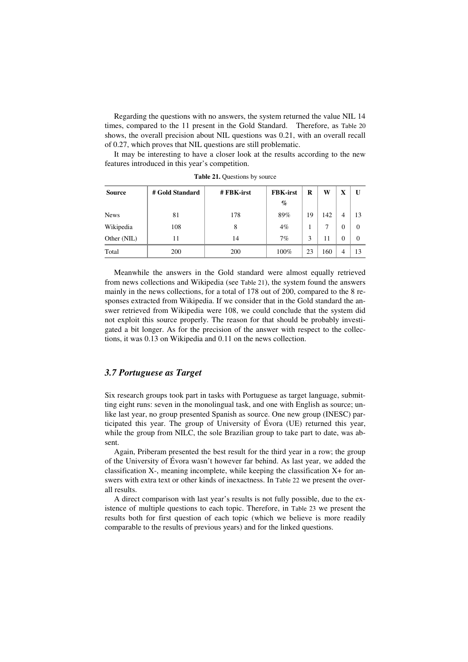Regarding the questions with no answers, the system returned the value NIL 14 times, compared to the 11 present in the Gold Standard. Therefore, as Table 20 shows, the overall precision about NIL questions was 0.21, with an overall recall of 0.27, which proves that NIL questions are still problematic.

It may be interesting to have a closer look at the results according to the new features introduced in this year's competition.

| <b>Source</b> | # Gold Standard | # FBK-irst | <b>FBK-irst</b> | $\bf{R}$ | W   | x              | $\mathbf{U}$ |
|---------------|-----------------|------------|-----------------|----------|-----|----------------|--------------|
|               |                 |            | $\%$            |          |     |                |              |
| <b>News</b>   | 81              | 178        | 89%             | 19       | 142 | $\overline{4}$ | 13           |
| Wikipedia     | 108             | 8          | $4\%$           |          | 7   | $\theta$       | $\Omega$     |
| Other (NIL)   | 11              | 14         | 7%              | 3        | 11  | $\Omega$       | 0            |
| Total         | 200             | 200        | 100%            | 23       | 160 | $\overline{4}$ | 13           |

Table 21. Questions by source

Meanwhile the answers in the Gold standard were almost equally retrieved from news collections and Wikipedia (see Table 21), the system found the answers mainly in the news collections, for a total of 178 out of 200, compared to the 8 responses extracted from Wikipedia. If we consider that in the Gold standard the answer retrieved from Wikipedia were 108, we could conclude that the system did not exploit this source properly. The reason for that should be probably investigated a bit longer. As for the precision of the answer with respect to the collections, it was 0.13 on Wikipedia and 0.11 on the news collection.

#### *3.7 Portuguese as Target*

Six research groups took part in tasks with Portuguese as target language, submitting eight runs: seven in the monolingual task, and one with English as source; unlike last year, no group presented Spanish as source. One new group (INESC) participated this year. The group of University of Évora (UE) returned this year, while the group from NILC, the sole Brazilian group to take part to date, was absent.

Again, Priberam presented the best result for the third year in a row; the group of the University of Évora wasn't however far behind. As last year, we added the classification X-, meaning incomplete, while keeping the classification X+ for answers with extra text or other kinds of inexactness. In Table 22 we present the overall results.

A direct comparison with last year's results is not fully possible, due to the existence of multiple questions to each topic. Therefore, in Table 23 we present the results both for first question of each topic (which we believe is more readily comparable to the results of previous years) and for the linked questions.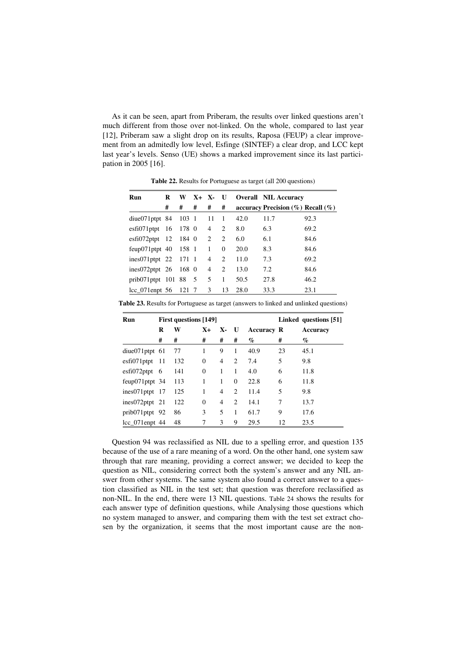As it can be seen, apart from Priberam, the results over linked questions aren't much different from those over not-linked. On the whole, compared to last year [12], Priberam saw a slight drop on its results, Raposa (FEUP) a clear improvement from an admitedly low level, Esfinge (SINTEF) a clear drop, and LCC kept last year's levels. Senso (UE) shows a marked improvement since its last participation in 2005 [16].

| Run                     | R | W |   | X+ X- U        |          | <b>Overall</b> NIL Accuracy |                                         |      |
|-------------------------|---|---|---|----------------|----------|-----------------------------|-----------------------------------------|------|
|                         | # | # | # | #              | #        |                             | accuracy Precision $(\%)$ Recall $(\%)$ |      |
| $diue071$ ptpt 84 103 1 |   |   |   | - 11           | -1       | 42.0                        | 11.7                                    | 92.3 |
| $esti071$ ptpt 16 178 0 |   |   |   | 4              | 2        | 8.0                         | 6.3                                     | 69.2 |
| $esti072ptpt 12$ 184 0  |   |   |   | 2              | 2        | 6.0                         | 6.1                                     | 84.6 |
| feup071ptpt $40$ 158 1  |   |   |   | -1             | $\theta$ | 20.0                        | 8.3                                     | 84.6 |
| $ines071ptpt 22$ 171 1  |   |   |   | $\overline{4}$ | 2        | 11.0                        | 7.3                                     | 69.2 |
| ines072ptpt $26$ 168 0  |   |   |   | $\overline{4}$ | 2        | 13.0                        | 7.2                                     | 84.6 |
| prib071ptpt 101 88 5 5  |   |   |   |                | -1       | 50.5                        | 27.8                                    | 46.2 |
| $lcc_071$ enpt 56 121 7 |   |   |   | 3              | 13       | 28.0                        | 33.3                                    | 23.1 |

**Table 22.** Results for Portuguese as target (all 200 questions)

| Run               |   | First questions [149] |          |                | Linked questions [51] |                   |    |          |
|-------------------|---|-----------------------|----------|----------------|-----------------------|-------------------|----|----------|
|                   | R | W                     | $X+$     | $\mathbf{X}$ - | U                     | <b>Accuracy R</b> |    | Accuracy |
|                   | # | #                     | #        | #              | #                     | $\%$              | #  | $\%$     |
| $diue071$ ptpt 61 |   | 77                    | 1        | 9              | 1                     | 40.9              | 23 | 45.1     |
| $esti071$ ptpt 11 |   | 132                   | $\Omega$ | $\overline{4}$ | $\overline{c}$        | 7.4               | 5  | 9.8      |
| $esti072$ ptpt 6  |   | 141                   | $\Omega$ | 1              | 1                     | 4.0               | 6  | 11.8     |
| feup071ptpt 34    |   | 113                   | 1        | 1              | $\Omega$              | 22.8              | 6  | 11.8     |
| $ines071$ ptpt 17 |   | 125                   | 1        | 4              | $\overline{c}$        | 11.4              | 5  | 9.8      |
| ines072ptpt 21    |   | 122                   | $\Omega$ | 4              | $\overline{c}$        | 14.1              | 7  | 13.7     |
| prib071ptpt 92    |   | 86                    | 3        | 5              | 1                     | 61.7              | 9  | 17.6     |
| $lcc$ 071 enpt 44 |   | 48                    | 7        | 3              | 9                     | 29.5              | 12 | 23.5     |

**Table 23.** Results for Portuguese as target (answers to linked and unlinked questions)

Question 94 was reclassified as NIL due to a spelling error, and question 135 because of the use of a rare meaning of a word. On the other hand, one system saw through that rare meaning, providing a correct answer; we decided to keep the question as NIL, considering correct both the system's answer and any NIL answer from other systems. The same system also found a correct answer to a question classified as NIL in the test set; that question was therefore reclassified as non-NIL. In the end, there were 13 NIL questions. Table 24 shows the results for each answer type of definition questions, while Analysing those questions which no system managed to answer, and comparing them with the test set extract chosen by the organization, it seems that the most important cause are the non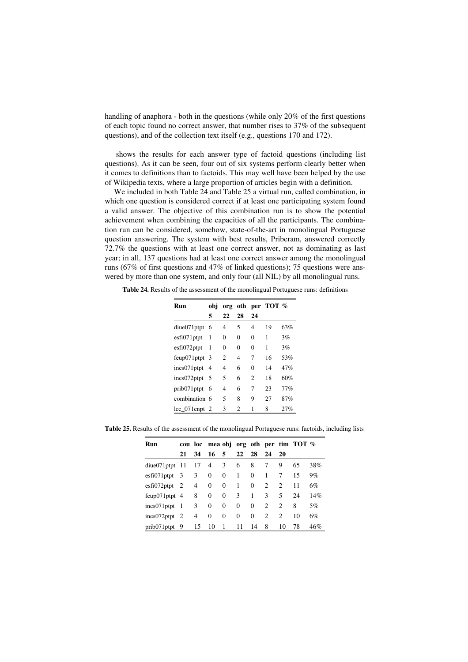handling of anaphora - both in the questions (while only 20% of the first questions of each topic found no correct answer, that number rises to 37% of the subsequent questions), and of the collection text itself (e.g., questions 170 and 172).

 shows the results for each answer type of factoid questions (including list questions). As it can be seen, four out of six systems perform clearly better when it comes to definitions than to factoids. This may well have been helped by the use of Wikipedia texts, where a large proportion of articles begin with a definition.

We included in both Table 24 and Table 25 a virtual run, called combination, in which one question is considered correct if at least one participating system found a valid answer. The objective of this combination run is to show the potential achievement when combining the capacities of all the participants. The combination run can be considered, somehow, state-of-the-art in monolingual Portuguese question answering. The system with best results, Priberam, answered correctly 72.7% the questions with at least one correct answer, not as dominating as last year; in all, 137 questions had at least one correct answer among the monolingual runs (67% of first questions and 47% of linked questions); 75 questions were answered by more than one system, and only four (all NIL) by all monolingual runs.

**Table 24.** Results of the assessment of the monolingual Portuguese runs: definitions

| Run            | obi            |          | org oth        |                | per TOT $%$ |     |
|----------------|----------------|----------|----------------|----------------|-------------|-----|
|                | 5              | 22       | 28             | 24             |             |     |
| diue071ptpt    | - 6            | 4        | 5              | 4              | 19          | 63% |
| $esti071$ ptpt | 1              | $\theta$ | $\theta$       | $\Omega$       | 1           | 3%  |
| esfi072ptpt    | 1              | $\theta$ | $\theta$       | $\Omega$       | 1           | 3%  |
| feup071ptpt 3  |                | 2        | 4              | 7              | 16          | 53% |
| ines071ptpt    | $\overline{4}$ | 4        | 6              | $\Omega$       | 14          | 47% |
| ines072ptpt    | -5             | 5        | 6              | $\overline{c}$ | 18          | 60% |
| prib071ptpt    | 6              | 4        | 6              | 7              | 23          | 77% |
| combination 6  |                | 5        | 8              | 9              | 27          | 87% |
| lcc 071enpt 2  |                | 3        | $\overline{c}$ | 1              | 8           | 27% |

**Table 25.** Results of the assessment of the monolingual Portuguese runs: factoids, including lists

| Run                           |    |                |           |                 |              |          |    |      | cou loc mea obj org oth per tim TOT $\%$ |     |
|-------------------------------|----|----------------|-----------|-----------------|--------------|----------|----|------|------------------------------------------|-----|
|                               | 21 | 34             | -16       | $5\overline{5}$ | 22 28        |          | 24 | - 20 |                                          |     |
| $diue071$ ptpt 11             |    | 17             | $4 \quad$ | 3 <sup>7</sup>  | 6            | 8        | 7  | 9    | 65                                       | 38% |
| $esti071$ ptpt 3              |    | 3              | $\theta$  | $\theta$        | $\mathbf{1}$ | $\theta$ | 1  | 7    | 15                                       | 9%  |
| $\text{esfi}072\text{ptpt}$ 2 |    | 4              | $\theta$  | $\theta$        | $\mathbf{1}$ | $\Omega$ | 2  | 2    | 11                                       | 6%  |
| $f \neq 071$ ptpt 4           |    | 8              | $\theta$  | $\theta$        | 3            | 1        | 3  | 5    | 24                                       | 14% |
| $ines071$ ptpt 1              |    | 3              | $\theta$  | 0               | $\theta$     | $\theta$ | 2  | 2    | 8                                        | 5%  |
| ines072ptpt 2                 |    | $\overline{4}$ | $\Omega$  | 0               | $\theta$     | $\Omega$ | 2  | 2    | 10                                       | 6%  |
| prib071ptpt 9                 |    | 15             | 10        | 1               | 11           | 14       | 8  | 10   | 78                                       | 46% |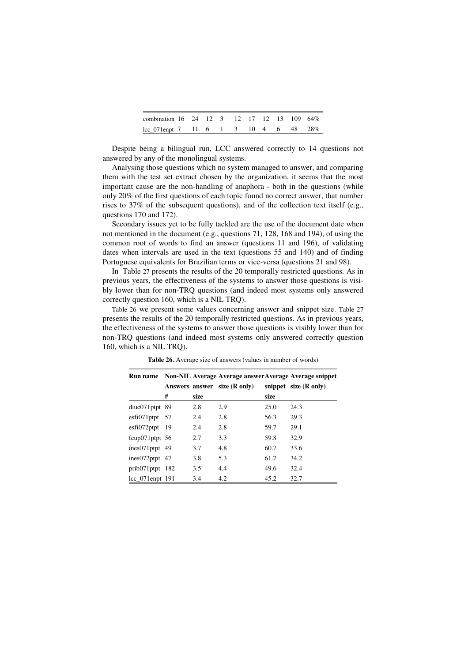| combination 16 24 12 3 12 17 12 13 109 64%       |  |  |  |  |  |
|--------------------------------------------------|--|--|--|--|--|
| $\text{Lcc}\_0$ 71 enpt 7 11 6 1 3 10 4 6 48 28% |  |  |  |  |  |

Despite being a bilingual run, LCC answered correctly to 14 questions not answered by any of the monolingual systems.

Analysing those questions which no system managed to answer, and comparing them with the test set extract chosen by the organization, it seems that the most important cause are the non-handling of anaphora - both in the questions (while only 20% of the first questions of each topic found no correct answer, that number rises to 37% of the subsequent questions), and of the collection text itself (e.g., questions 170 and 172).

Secondary issues yet to be fully tackled are the use of the document date when not mentioned in the document (e.g., questions 71, 128, 168 and 194), of using the common root of words to find an answer (questions 11 and 196), of validating dates when intervals are used in the text (questions 55 and 140) and of finding Portuguese equivalents for Brazilian terms or vice-versa (questions 21 and 98).

In Table 27 presents the results of the 20 temporally restricted questions. As in previous years, the effectiveness of the systems to answer those questions is visibly lower than for non-TRQ questions (and indeed most systems only answered correctly question 160, which is a NIL TRQ).

Table 26 we present some values concerning answer and snippet size. Table 27 presents the results of the 20 temporally restricted questions. As in previous years, the effectiveness of the systems to answer those questions is visibly lower than for non-TRQ questions (and indeed most systems only answered correctly question 160, which is a NIL TRQ).

| <b>Run name</b>      |   |      |                              |      | Non-NIL Average Average answer Average Average snippet |
|----------------------|---|------|------------------------------|------|--------------------------------------------------------|
|                      |   |      | Answers answer size (R only) |      | snippet size $(R \text{ only})$                        |
|                      | # | size |                              | size |                                                        |
| $diue071$ ptpt 89    |   | 2.8  | 2.9                          | 25.0 | 24.3                                                   |
| $esti071$ ptpt 57    |   | 2.4  | 2.8                          | 56.3 | 29.3                                                   |
| $esti072$ ptpt 19    |   | 2.4  | 2.8                          | 59.7 | 29.1                                                   |
| $f \neq 071$ ptpt 56 |   | 2.7  | 3.3                          | 59.8 | 32.9                                                   |
| $ines071$ ptpt 49    |   | 3.7  | 4.8                          | 60.7 | 33.6                                                   |
| ines072ptpt 47       |   | 3.8  | 5.3                          | 61.7 | 34.2                                                   |
| prib071ptpt 182      |   | 3.5  | 4.4                          | 49.6 | 32.4                                                   |
| lcc 071enpt 191      |   | 3.4  | 4.2                          | 45.2 | 32.7                                                   |

**Table 26.** Average size of answers (values in number of words)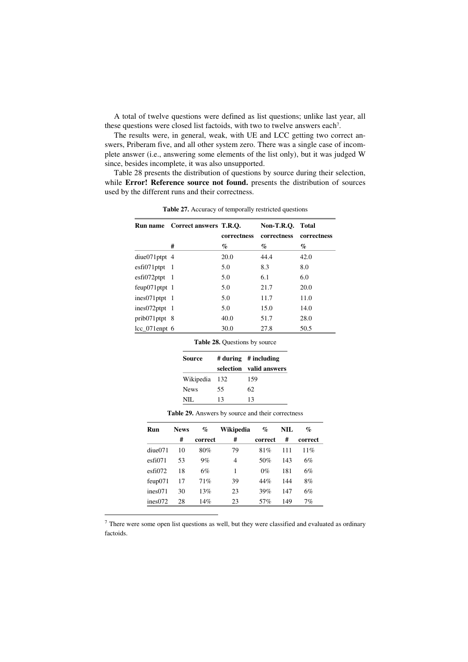A total of twelve questions were defined as list questions; unlike last year, all these questions were closed list factoids, with two to twelve answers each<sup>7</sup>.

The results were, in general, weak, with UE and LCC getting two correct answers, Priberam five, and all other system zero. There was a single case of incomplete answer (i.e., answering some elements of the list only), but it was judged W since, besides incomplete, it was also unsupported.

Table 28 presents the distribution of questions by source during their selection, while **Error! Reference source not found.** presents the distribution of sources used by the different runs and their correctness.

|                               | Run name Correct answers T.R.O. |             | Non-T.R.O. Total |             |
|-------------------------------|---------------------------------|-------------|------------------|-------------|
|                               |                                 | correctness | correctness      | correctness |
|                               | #                               | $\%$        | $\%$             | $\%$        |
| $diue071$ ptpt 4              |                                 | 20.0        | 44.4             | 42.0        |
| $\text{esfi}071\text{ptpt}$ 1 |                                 | 5.0         | 8.3              | 8.0         |
| $\mathrm{esfi}072$ ptpt 1     |                                 | 5.0         | 6.1              | 6.0         |
| $f \neq 071$ ptpt 1           |                                 | 5.0         | 21.7             | 20.0        |
| $ines071$ ptpt 1              |                                 | 5.0         | 11.7             | 11.0        |
| ines072ptpt 1                 |                                 | 5.0         | 15.0             | 14.0        |
| prib071ptpt 8                 |                                 | 40.0        | 51.7             | 28.0        |
| lcc 071enpt 6                 |                                 | 30.0        | 27.8             | 50.5        |

**Table 27.** Accuracy of temporally restricted questions

|  | <b>Table 28.</b> Questions by source |  |  |
|--|--------------------------------------|--|--|
|--|--------------------------------------|--|--|

| Source        |    | $#$ during $#$ including |
|---------------|----|--------------------------|
|               |    | selection valid answers  |
| Wikipedia 132 |    | 159                      |
| <b>News</b>   | 55 | 62                       |
| NIL.          | 13 | 13                       |

|         |             |         | <b>Table 29.</b> Allswers by source and their correctness |         |     |         |
|---------|-------------|---------|-----------------------------------------------------------|---------|-----|---------|
| Run     | <b>News</b> | $\%$    | Wikipedia                                                 | $\%$    | NIL | $\%$    |
|         | #           | correct | #                                                         | correct | #   | correct |
| diue071 | 10          | 80%     | 79                                                        | 81%     | 111 | 11%     |
| esfi071 | 53          | $9\%$   | 4                                                         | 50%     | 143 | 6%      |
| esfi072 | 18          | 6%      | 1                                                         | $0\%$   | 181 | 6%      |
| feup071 | 17          | 71%     | 39                                                        | 44%     | 144 | 8%      |
| ines071 | 30          | 13%     | 23                                                        | 39%     | 147 | 6%      |
| ines072 | 28          | 14%     | 23                                                        | 57%     | 149 | 7%      |

**Table 20.** Anowers by source and their correct

<sup>7</sup> There were some open list questions as well, but they were classified and evaluated as ordinary factoids.

 $\overline{a}$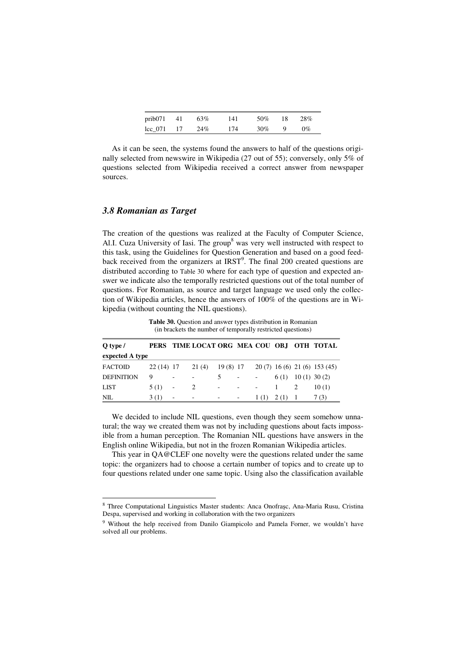| prib071 41 63% |     | 141 | 50\% 18 28\% |       |
|----------------|-----|-----|--------------|-------|
| $lcc_071$ 17   | 24% | 174 | $30\%$ 9     | $0\%$ |

As it can be seen, the systems found the answers to half of the questions originally selected from newswire in Wikipedia (27 out of 55); conversely, only 5% of questions selected from Wikipedia received a correct answer from newspaper sources.

### *3.8 Romanian as Target*

The creation of the questions was realized at the Faculty of Computer Science, Al.I. Cuza University of Iasi. The group<sup>8</sup> was very well instructed with respect to this task, using the Guidelines for Question Generation and based on a good feedback received from the organizers at  $IRST<sup>9</sup>$ . The final 200 created questions are distributed according to Table 30 where for each type of question and expected answer we indicate also the temporally restricted questions out of the total number of questions. For Romanian, as source and target language we used only the collection of Wikipedia articles, hence the answers of 100% of the questions are in Wikipedia (without counting the NIL questions).

**Table 30.** Question and answer types distribution in Romanian (in brackets the number of temporally restricted questions)

| $Q$ type $\ell$   |             |                          |                   |                            |                          |                 |               | PERS TIME LOCAT ORG MEA COU OBJ OTH TOTAL |
|-------------------|-------------|--------------------------|-------------------|----------------------------|--------------------------|-----------------|---------------|-------------------------------------------|
| expected A type   |             |                          |                   |                            |                          |                 |               |                                           |
| <b>FACTOID</b>    | $22(14)$ 17 |                          | 21(4)             |                            |                          |                 |               | $19(8) 17$ $20(7) 16(6) 21(6) 153(45)$    |
| <b>DEFINITION</b> | 9           | $\sim$                   | $\qquad \qquad -$ | 5.                         | $\sim 100$               | 6(1)            | $10(1)$ 30(2) |                                           |
| LIST              | 5(1)        | $\sim$                   | 2                 | with the same state of the |                          | $\sim$ 1        | 2             | 10(1)                                     |
| NIL               | 3(1)        | $\overline{\phantom{a}}$ | ٠                 | $\overline{\phantom{a}}$   | $\overline{\phantom{a}}$ | $1(1)$ $2(1)$ 1 |               | 7(3)                                      |

We decided to include NIL questions, even though they seem somehow unnatural; the way we created them was not by including questions about facts impossible from a human perception. The Romanian NIL questions have answers in the English online Wikipedia, but not in the frozen Romanian Wikipedia articles.

This year in QA@CLEF one novelty were the questions related under the same topic: the organizers had to choose a certain number of topics and to create up to four questions related under one same topic. Using also the classification available

 8 Three Computational Linguistics Master students: Anca Onofraşc, Ana-Maria Rusu, Cristina Despa, supervised and working in collaboration with the two organizers

<sup>&</sup>lt;sup>9</sup> Without the help received from Danilo Giampicolo and Pamela Forner, we wouldn't have solved all our problems.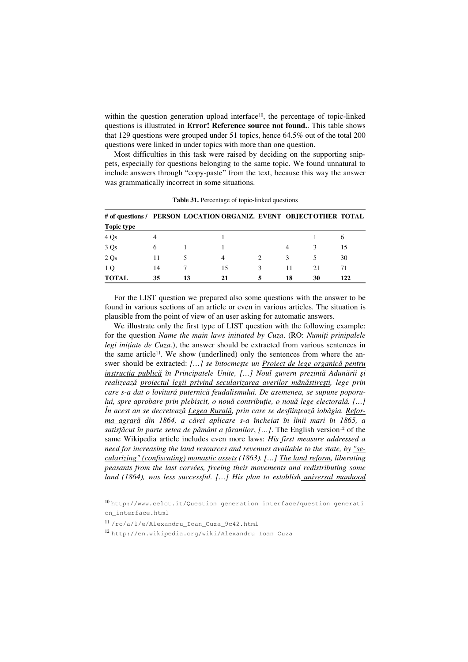within the question generation upload interface $10$ , the percentage of topic-linked questions is illustrated in **Error! Reference source not found.**. This table shows that 129 questions were grouped under 51 topics, hence 64.5% out of the total 200 questions were linked in under topics with more than one question.

Most difficulties in this task were raised by deciding on the supporting snippets, especially for questions belonging to the same topic. We found unnatural to include answers through "copy-paste" from the text, because this way the answer was grammatically incorrect in some situations.

| # of questions / PERSON LOCATION ORGANIZ. EVENT OBJECTOTHER TOTAL |    |    |    |                             |    |    |     |
|-------------------------------------------------------------------|----|----|----|-----------------------------|----|----|-----|
| <b>Topic type</b>                                                 |    |    |    |                             |    |    |     |
| 4 Qs                                                              | 4  |    |    |                             |    |    | h   |
| 3 Qs                                                              | 6  |    |    |                             | 4  | 3  | 15  |
| 2 Qs                                                              | 11 |    | 4  | $\mathcal{D}_{\mathcal{L}}$ | 3  |    | 30  |
| 1 O                                                               | 14 |    | 15 | 3                           | 11 | 21 | 71  |
| TOTAL                                                             | 35 | 13 | 21 | 5                           | 18 | 30 | 122 |

**Table 31.** Percentage of topic-linked questions

For the LIST question we prepared also some questions with the answer to be found in various sections of an article or even in various articles. The situation is plausible from the point of view of an user asking for automatic answers.

We illustrate only the first type of LIST question with the following example: for the question *Name the main laws initiated by Cuza*. (RO: *Numiti prinipalele legi initiate de Cuza.*), the answer should be extracted from various sentences in the same article<sup>11</sup>. We show (underlined) only the sentences from where the answer should be extracted: *[…] se întocme*ş*te un Proiect de lege organic*ă *pentru instruc*ţ*ia public*ă *în Principatele Unite, […] Noul guvern prezint*ă *Adun*ă*rii* ş*i realizeaz*ă *proiectul legii privind secularizarea averilor mân*ă*stire*ş*ti, lege prin care s-a dat o lovitur*ă *puternic*ă *feudalismului. De asemenea, se supune poporului, spre aprobare prin plebiscit, o nou*ă *contribu*ţ*ie, o nou*ă *lege electoral*ă*. […] În acest an se decreteaz*ă *Legea Rural*ă*, prin care se desfiin*ţ*eaz*ă *iob*ă*gia. Reforma agrar*ă *din 1864, a c*ă*rei aplicare s-a încheiat în linii mari în 1865, a satisfăcut în parte setea de pământ a țăranilor, […]*. The English version<sup>12</sup> of the same Wikipedia article includes even more laws: *His first measure addressed a need for increasing the land resources and revenues available to the state, by "secularizing" (confiscating) monastic assets (1863). […] The land reform, liberating peasants from the last corvées, freeing their movements and redistributing some land (1864), was less successful. […] His plan to establish universal manhood* 

 $\overline{a}$ 

<sup>10</sup> http://www.celct.it/Question\_generation\_interface/question\_generati on\_interface.html

<sup>11</sup> /ro/a/l/e/Alexandru\_Ioan\_Cuza\_9c42.html

<sup>12</sup> http://en.wikipedia.org/wiki/Alexandru\_Ioan\_Cuza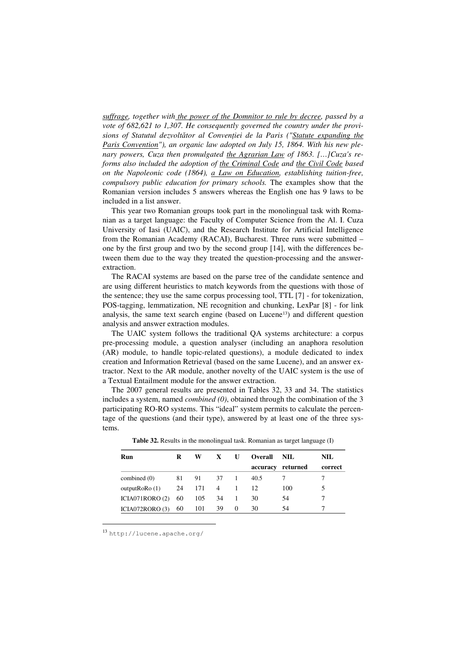*suffrage, together with the power of the Domnitor to rule by decree, passed by a vote of 682,621 to 1,307. He consequently governed the country under the provisions of Statutul dezvolt*ă*tor al Conven*ţ*iei de la Paris ("Statute expanding the Paris Convention"), an organic law adopted on July 15, 1864. With his new plenary powers, Cuza then promulgated the Agrarian Law of 1863. […]Cuza's reforms also included the adoption of the Criminal Code and the Civil Code based on the Napoleonic code (1864), a Law on Education, establishing tuition-free, compulsory public education for primary schools.* The examples show that the Romanian version includes 5 answers whereas the English one has 9 laws to be included in a list answer.

This year two Romanian groups took part in the monolingual task with Romanian as a target language: the Faculty of Computer Science from the Al. I. Cuza University of Iasi (UAIC), and the Research Institute for Artificial Intelligence from the Romanian Academy (RACAI), Bucharest. Three runs were submitted – one by the first group and two by the second group [14], with the differences between them due to the way they treated the question-processing and the answerextraction.

The RACAI systems are based on the parse tree of the candidate sentence and are using different heuristics to match keywords from the questions with those of the sentence; they use the same corpus processing tool, TTL [7] - for tokenization, POS-tagging, lemmatization, NE recognition and chunking, LexPar [8] - for link analysis, the same text search engine (based on Lucene<sup>13</sup>) and different question analysis and answer extraction modules.

The UAIC system follows the traditional QA systems architecture: a corpus pre-processing module, a question analyser (including an anaphora resolution (AR) module, to handle topic-related questions), a module dedicated to index creation and Information Retrieval (based on the same Lucene), and an answer extractor. Next to the AR module, another novelty of the UAIC system is the use of a Textual Entailment module for the answer extraction.

The 2007 general results are presented in Tables 32, 33 and 34. The statistics includes a system, named *combined (0)*, obtained through the combination of the 3 participating RO-RO systems. This "ideal" system permits to calculate the percentage of the questions (and their type), answered by at least one of the three systems.

| Run              | R  | W   | $\mathbf{X}$ | $\mathbf{U}$ | <b>Overall</b> | NIL.              | NIL.    |
|------------------|----|-----|--------------|--------------|----------------|-------------------|---------|
|                  |    |     |              |              |                | accuracy returned | correct |
| combined $(0)$   | 81 | 91  | 37           | -1           | 40.5           |                   |         |
| output $RoRo(1)$ | 24 | 171 | 4            |              | 12.            | 100               |         |
| ICIA071RORO (2)  | 60 | 105 | 34           |              | 30             | 54                |         |
| ICIA072RORO (3)  | 60 | 101 | 39           | $\Omega$     | 30             | 54                |         |
|                  |    |     |              |              |                |                   |         |

**Table 32.** Results in the monolingual task. Romanian as target language (I)

<sup>13</sup> http://lucene.apache.org/

l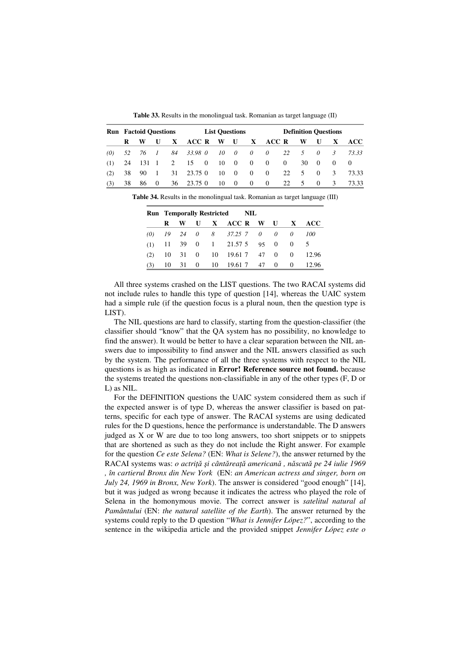**Table 33.** Results in the monolingual task. Romanian as target language (II)

|     |    | <b>Run</b> Factoid Questions<br><b>List Ouestions</b> |                |    |            |              |                |                | <b>Definition Questions</b> |          |    |          |               |          |
|-----|----|-------------------------------------------------------|----------------|----|------------|--------------|----------------|----------------|-----------------------------|----------|----|----------|---------------|----------|
|     | R  | W                                                     |                | X  | ACC R      | $\mathbf{W}$ | $\mathbf U$    | $\mathbf{X}$   | ACC R                       |          | W  | U        | X             | ACC      |
| (0) |    | 52 76 1                                               |                | 84 | 33.98 0 10 |              | $\theta$       | $\theta$       | $\theta$                    | 22       | 5  | $\theta$ | $\mathcal{Z}$ | 73.33    |
| (1) | 24 | - 131                                                 | $\overline{1}$ | 2  | 15 0       | -10          | $\overline{0}$ | $\overline{0}$ | $\Omega$                    | $\Omega$ | 30 | - 0      | $\Omega$      | $\theta$ |
| (2) | 38 | 90                                                    |                | 31 | 23.75 0    | 10           | $\overline{0}$ | $\left($       | $\Omega$                    | 22       | 5  | $\Omega$ | 3             | 73.33    |
| (3) | 38 | 86                                                    | - 0            |    | 36 23.75 0 | 10           | $\overline{0}$ | $\overline{0}$ | $\bf{0}$                    | 22       | .5 | $\Omega$ | 3             | 73.33    |

**Table 34.** Results in the monolingual task. Romanian as target language (III)

|     |   |         |              | <b>Run</b> Temporally Restricted NIL |  |  |                         |       |  |  |
|-----|---|---------|--------------|--------------------------------------|--|--|-------------------------|-------|--|--|
|     | R | W.      | $\mathbf{U}$ | X ACCR W U                           |  |  | $\mathbf{X}$            | ACC   |  |  |
| (0) |   |         |              | 19 24 0 8 37.25 7 0 0                |  |  | $\theta$                | 100   |  |  |
| (1) |   |         |              | 11 39 0 1 21.57 5 95 0 0             |  |  |                         |       |  |  |
| (2) |   | 10 31 0 |              | 10 19.61 7 47 0                      |  |  | - 0                     | 12.96 |  |  |
| (3) |   |         |              | 10 31 0 10 19.61 7 47 0              |  |  | $\overline{\mathbf{0}}$ | 12.96 |  |  |

All three systems crashed on the LIST questions. The two RACAI systems did not include rules to handle this type of question [14], whereas the UAIC system had a simple rule (if the question focus is a plural noun, then the question type is LIST).

The NIL questions are hard to classify, starting from the question-classifier (the classifier should "know" that the QA system has no possibility, no knowledge to find the answer). It would be better to have a clear separation between the NIL answers due to impossibility to find answer and the NIL answers classified as such by the system. The performance of all the three systems with respect to the NIL questions is as high as indicated in **Error! Reference source not found.** because the systems treated the questions non-classifiable in any of the other types (F, D or L) as NIL.

For the DEFINITION questions the UAIC system considered them as such if the expected answer is of type D, whereas the answer classifier is based on patterns, specific for each type of answer. The RACAI systems are using dedicated rules for the D questions, hence the performance is understandable. The D answers judged as X or W are due to too long answers, too short snippets or to snippets that are shortened as such as they do not include the Right answer. For example for the question *Ce este Selena?* (EN: *What is Selene?*), the answer returned by the RACAI systems was: *o actri*ţă ş*i cânt*ă*rea*ţă *american*ă *, n*ă*scut*ă *pe 24 iulie 1969 , în cartierul Bronx din New York* (EN: *an American actress and singer, born on July 24, 1969 in Bronx, New York*). The answer is considered "good enough" [14], but it was judged as wrong because it indicates the actress who played the role of Selena in the homonymous movie. The correct answer is *satelitul natural al Pamântului* (EN: *the natural satellite of the Earth*). The answer returned by the systems could reply to the D question "*What is Jennifer López?*", according to the sentence in the wikipedia article and the provided snippet *Jennifer López este o*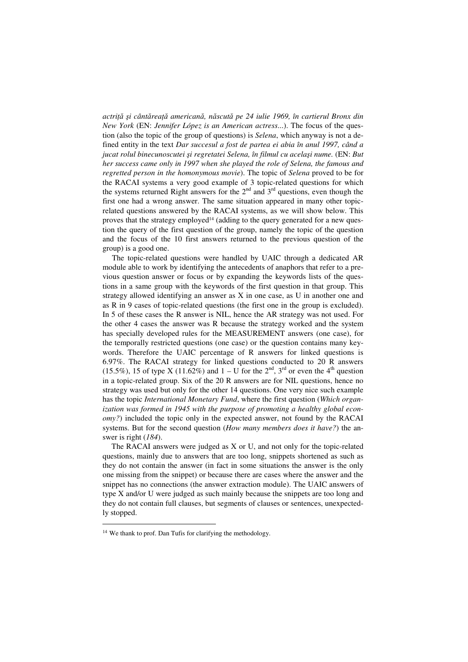*actri*ţă ş*i cânt*ă*rea*ţă *american*ă*, n*ă*scut*ă *pe 24 iulie 1969, în cartierul Bronx din New York* (EN: *Jennifer López is an American actress*...). The focus of the question (also the topic of the group of questions) is *Selena*, which anyway is not a defined entity in the text *Dar succesul a fost de partea ei abia în anul 1997, când a jucat rolul binecunoscutei* ş*i regretatei Selena, în filmul cu acela*ş*i nume.* (EN: *But her success came only in 1997 when she played the role of Selena, the famous and regretted person in the homonymous movie*). The topic of *Selena* proved to be for the RACAI systems a very good example of 3 topic-related questions for which the systems returned Right answers for the  $2<sup>nd</sup>$  and  $3<sup>rd</sup>$  questions, even though the first one had a wrong answer. The same situation appeared in many other topicrelated questions answered by the RACAI systems, as we will show below. This proves that the strategy employed<sup>14</sup> (adding to the query generated for a new question the query of the first question of the group, namely the topic of the question and the focus of the 10 first answers returned to the previous question of the group) is a good one.

The topic-related questions were handled by UAIC through a dedicated AR module able to work by identifying the antecedents of anaphors that refer to a previous question answer or focus or by expanding the keywords lists of the questions in a same group with the keywords of the first question in that group. This strategy allowed identifying an answer as X in one case, as U in another one and as R in 9 cases of topic-related questions (the first one in the group is excluded). In 5 of these cases the R answer is NIL, hence the AR strategy was not used. For the other 4 cases the answer was R because the strategy worked and the system has specially developed rules for the MEASUREMENT answers (one case), for the temporally restricted questions (one case) or the question contains many keywords. Therefore the UAIC percentage of R answers for linked questions is 6.97%. The RACAI strategy for linked questions conducted to 20 R answers (15.5%), 15 of type X (11.62%) and  $1 - U$  for the  $2<sup>nd</sup>$ , 3<sup>rd</sup> or even the 4<sup>th</sup> question in a topic-related group. Six of the 20 R answers are for NIL questions, hence no strategy was used but only for the other 14 questions. One very nice such example has the topic *International Monetary Fund*, where the first question (*Which organization was formed in 1945 with the purpose of promoting a healthy global economy?*) included the topic only in the expected answer, not found by the RACAI systems. But for the second question (*How many members does it have?*) the answer is right (*184*).

The RACAI answers were judged as X or U, and not only for the topic-related questions, mainly due to answers that are too long, snippets shortened as such as they do not contain the answer (in fact in some situations the answer is the only one missing from the snippet) or because there are cases where the answer and the snippet has no connections (the answer extraction module). The UAIC answers of type X and/or U were judged as such mainly because the snippets are too long and they do not contain full clauses, but segments of clauses or sentences, unexpectedly stopped.

l

 $14$  We thank to prof. Dan Tufis for clarifying the methodology.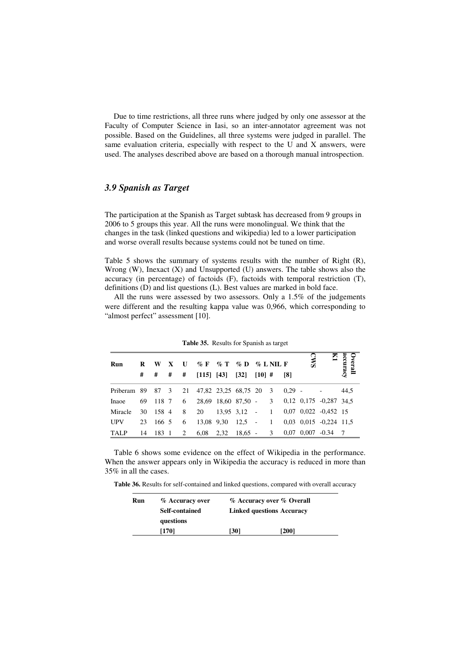Due to time restrictions, all three runs where judged by only one assessor at the Faculty of Computer Science in Iasi, so an inter-annotator agreement was not possible. Based on the Guidelines, all three systems were judged in parallel. The same evaluation criteria, especially with respect to the U and X answers, were used. The analyses described above are based on a thorough manual introspection.

## *3.9 Spanish as Target*

The participation at the Spanish as Target subtask has decreased from 9 groups in 2006 to 5 groups this year. All the runs were monolingual. We think that the changes in the task (linked questions and wikipedia) led to a lower participation and worse overall results because systems could not be tuned on time.

Table 5 shows the summary of systems results with the number of Right (R), Wrong (W), Inexact (X) and Unsupported (U) answers. The table shows also the accuracy (in percentage) of factoids (F), factoids with temporal restriction (T), definitions (D) and list questions (L). Best values are marked in bold face.

All the runs were assessed by two assessors. Only a 1.5% of the judgements were different and the resulting kappa value was 0,966, which corresponding to "almost perfect" assessment [10].

| Run                                               | R<br># |  | W X U %F %T %D %LNILF<br>$\#$ $\#$ $\#$ [115] [43] [32] [10] $\#$ [8] |  |  | ŠΜ | Σ                                                       | accuracy<br>verall |
|---------------------------------------------------|--------|--|-----------------------------------------------------------------------|--|--|----|---------------------------------------------------------|--------------------|
| Priberam 89 87 3 21 47,82 23,25 68,75 20 3 0,29 - |        |  |                                                                       |  |  |    |                                                         | 44.5               |
| Inaoe                                             |        |  |                                                                       |  |  |    | 69 118 7 6 28,69 18,60 87,50 - 3 0,12 0,175 -0,287 34,5 |                    |
| Miracle                                           |        |  |                                                                       |  |  |    | 30 158 4 8 20 13,95 3,12 - 1 0,07 0,022 -0,452 15       |                    |
| <b>UPV</b>                                        |        |  |                                                                       |  |  |    | 23 166 5 6 13.08 9.30 12.5 - 1 0.03 0.015 -0.224 11.5   |                    |
| <b>TALP</b>                                       |        |  |                                                                       |  |  |    | 14 183 1 2 6,08 2,32 18,65 - 3 0,07 0,007 -0.34 7       |                    |

**Table 35.** Results for Spanish as target

Table 6 shows some evidence on the effect of Wikipedia in the performance. When the answer appears only in Wikipedia the accuracy is reduced in more than 35% in all the cases.

**Table 36.** Results for self-contained and linked questions, compared with overall accuracy

| Run | % Accuracy over       | % Accuracy over % Overall        |              |  |  |  |
|-----|-----------------------|----------------------------------|--------------|--|--|--|
|     | <b>Self-contained</b> | <b>Linked questions Accuracy</b> |              |  |  |  |
|     | questions             |                                  |              |  |  |  |
|     | [170]                 | [30]                             | <b>12001</b> |  |  |  |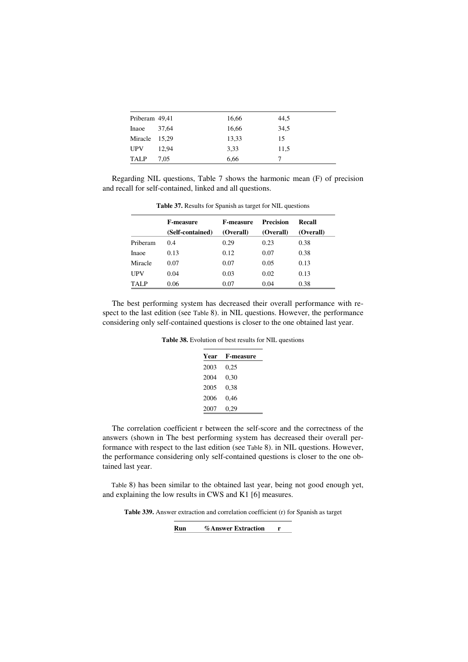| Priberam 49,41 |       | 16,66 | 44,5 |
|----------------|-------|-------|------|
| Inaoe          | 37,64 | 16,66 | 34,5 |
| Miracle 15,29  |       | 13,33 | 15   |
| <b>UPV</b>     | 12.94 | 3,33  | 11,5 |
| <b>TALP</b>    | 7.05  | 6.66  |      |

Regarding NIL questions, Table 7 shows the harmonic mean (F) of precision and recall for self-contained, linked and all questions.

|          | <b>F-measure</b> | <b>F-measure</b> | <b>Precision</b> | Recall    |  |
|----------|------------------|------------------|------------------|-----------|--|
|          | (Self-contained) | (Overall)        | (Overall)        | (Overall) |  |
| Priberam | 0.4              | 0.29             | 0.23             | 0.38      |  |
| Inaoe    | 0.13             | 0.12             | 0.07             | 0.38      |  |
| Miracle  | 0.07             | 0.07             | 0.05             | 0.13      |  |
| UPV      | 0.04             | 0.03             | 0.02             | 0.13      |  |
| TALP     | 0.06             | 0.07             | 0.04             | 0.38      |  |

**Table 37.** Results for Spanish as target for NIL questions

The best performing system has decreased their overall performance with respect to the last edition (see Table 8). in NIL questions. However, the performance considering only self-contained questions is closer to the one obtained last year.

**Table 38.** Evolution of best results for NIL questions

| Year | <b>F-measure</b> |
|------|------------------|
| 2003 | 0,25             |
| 2004 | 0,30             |
| 2005 | 0.38             |
| 2006 | 0.46             |
| 2007 | 0.29             |

The correlation coefficient r between the self-score and the correctness of the answers (shown in The best performing system has decreased their overall performance with respect to the last edition (see Table 8). in NIL questions. However, the performance considering only self-contained questions is closer to the one obtained last year.

Table 8) has been similar to the obtained last year, being not good enough yet, and explaining the low results in CWS and K1 [6] measures.

**Table 339.** Answer extraction and correlation coefficient (r) for Spanish as target

**Run %Answer Extraction r**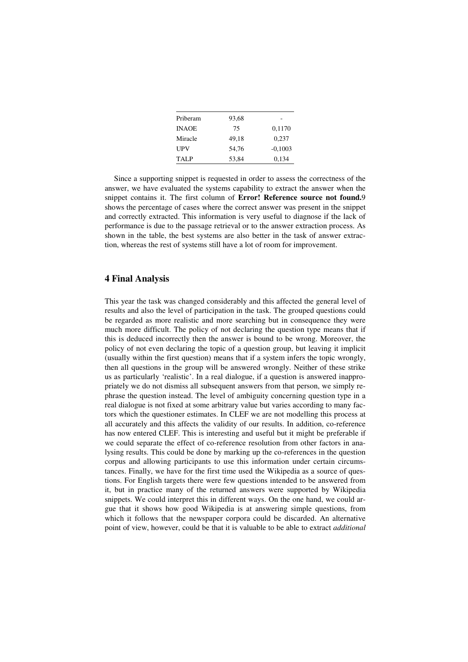| Priberam     | 93,68 |           |
|--------------|-------|-----------|
| <b>INAOE</b> | 75    | 0,1170    |
| Miracle      | 49.18 | 0,237     |
| UPV          | 54,76 | $-0,1003$ |
| TALP         | 53,84 | 0,134     |

Since a supporting snippet is requested in order to assess the correctness of the answer, we have evaluated the systems capability to extract the answer when the snippet contains it. The first column of **Error! Reference source not found.**9 shows the percentage of cases where the correct answer was present in the snippet and correctly extracted. This information is very useful to diagnose if the lack of performance is due to the passage retrieval or to the answer extraction process. As shown in the table, the best systems are also better in the task of answer extraction, whereas the rest of systems still have a lot of room for improvement.

## **4 Final Analysis**

This year the task was changed considerably and this affected the general level of results and also the level of participation in the task. The grouped questions could be regarded as more realistic and more searching but in consequence they were much more difficult. The policy of not declaring the question type means that if this is deduced incorrectly then the answer is bound to be wrong. Moreover, the policy of not even declaring the topic of a question group, but leaving it implicit (usually within the first question) means that if a system infers the topic wrongly, then all questions in the group will be answered wrongly. Neither of these strike us as particularly 'realistic'. In a real dialogue, if a question is answered inappropriately we do not dismiss all subsequent answers from that person, we simply rephrase the question instead. The level of ambiguity concerning question type in a real dialogue is not fixed at some arbitrary value but varies according to many factors which the questioner estimates. In CLEF we are not modelling this process at all accurately and this affects the validity of our results. In addition, co-reference has now entered CLEF. This is interesting and useful but it might be preferable if we could separate the effect of co-reference resolution from other factors in analysing results. This could be done by marking up the co-references in the question corpus and allowing participants to use this information under certain circumstances. Finally, we have for the first time used the Wikipedia as a source of questions. For English targets there were few questions intended to be answered from it, but in practice many of the returned answers were supported by Wikipedia snippets. We could interpret this in different ways. On the one hand, we could argue that it shows how good Wikipedia is at answering simple questions, from which it follows that the newspaper corpora could be discarded. An alternative point of view, however, could be that it is valuable to be able to extract *additional*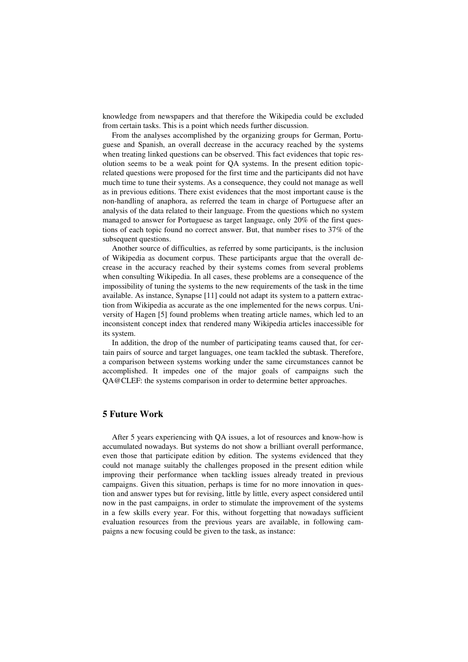knowledge from newspapers and that therefore the Wikipedia could be excluded from certain tasks. This is a point which needs further discussion.

From the analyses accomplished by the organizing groups for German, Portuguese and Spanish, an overall decrease in the accuracy reached by the systems when treating linked questions can be observed. This fact evidences that topic resolution seems to be a weak point for QA systems. In the present edition topicrelated questions were proposed for the first time and the participants did not have much time to tune their systems. As a consequence, they could not manage as well as in previous editions. There exist evidences that the most important cause is the non-handling of anaphora, as referred the team in charge of Portuguese after an analysis of the data related to their language. From the questions which no system managed to answer for Portuguese as target language, only 20% of the first questions of each topic found no correct answer. But, that number rises to 37% of the subsequent questions.

Another source of difficulties, as referred by some participants, is the inclusion of Wikipedia as document corpus. These participants argue that the overall decrease in the accuracy reached by their systems comes from several problems when consulting Wikipedia. In all cases, these problems are a consequence of the impossibility of tuning the systems to the new requirements of the task in the time available. As instance, Synapse [11] could not adapt its system to a pattern extraction from Wikipedia as accurate as the one implemented for the news corpus. University of Hagen [5] found problems when treating article names, which led to an inconsistent concept index that rendered many Wikipedia articles inaccessible for its system.

In addition, the drop of the number of participating teams caused that, for certain pairs of source and target languages, one team tackled the subtask. Therefore, a comparison between systems working under the same circumstances cannot be accomplished. It impedes one of the major goals of campaigns such the QA@CLEF: the systems comparison in order to determine better approaches.

#### **5 Future Work**

After 5 years experiencing with QA issues, a lot of resources and know-how is accumulated nowadays. But systems do not show a brilliant overall performance, even those that participate edition by edition. The systems evidenced that they could not manage suitably the challenges proposed in the present edition while improving their performance when tackling issues already treated in previous campaigns. Given this situation, perhaps is time for no more innovation in question and answer types but for revising, little by little, every aspect considered until now in the past campaigns, in order to stimulate the improvement of the systems in a few skills every year. For this, without forgetting that nowadays sufficient evaluation resources from the previous years are available, in following campaigns a new focusing could be given to the task, as instance: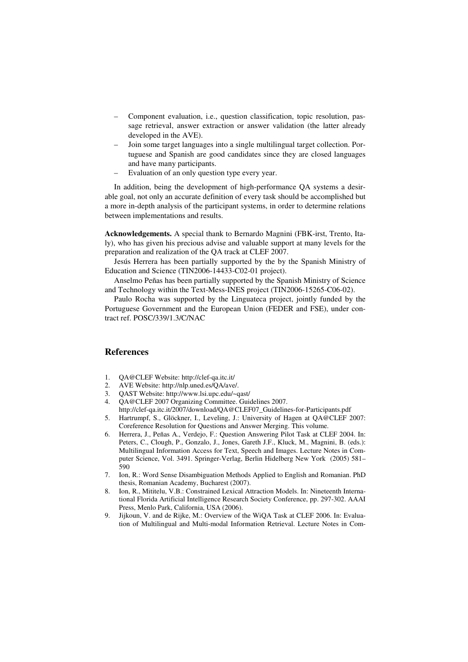- Component evaluation, i.e., question classification, topic resolution, passage retrieval, answer extraction or answer validation (the latter already developed in the AVE).
- Join some target languages into a single multilingual target collection. Portuguese and Spanish are good candidates since they are closed languages and have many participants.
- Evaluation of an only question type every year.

In addition, being the development of high-performance QA systems a desirable goal, not only an accurate definition of every task should be accomplished but a more in-depth analysis of the participant systems, in order to determine relations between implementations and results.

**Acknowledgements.** A special thank to Bernardo Magnini (FBK-irst, Trento, Italy), who has given his precious advise and valuable support at many levels for the preparation and realization of the QA track at CLEF 2007.

Jesús Herrera has been partially supported by the by the Spanish Ministry of Education and Science (TIN2006-14433-C02-01 project).

Anselmo Peñas has been partially supported by the Spanish Ministry of Science and Technology within the Text-Mess-INES project (TIN2006-15265-C06-02).

Paulo Rocha was supported by the Linguateca project, jointly funded by the Portuguese Government and the European Union (FEDER and FSE), under contract ref. POSC/339/1.3/C/NAC

## **References**

- 1. QA@CLEF Website: http://clef-qa.itc.it/
- 2. AVE Website: http://nlp.uned.es/QA/ave/.
- 3. QAST Website: http://www.lsi.upc.edu/~qast/
- 4. QA@CLEF 2007 Organizing Committee. Guidelines 2007.
- http://clef-qa.itc.it/2007/download/QA@CLEF07\_Guidelines-for-Participants.pdf 5. Hartrumpf, S., Glöckner, I., Leveling, J.: University of Hagen at QA@CLEF 2007: Coreference Resolution for Questions and Answer Merging. This volume.
- 6. Herrera, J., Peñas A., Verdejo, F.: Question Answering Pilot Task at CLEF 2004. In: Peters, C., Clough, P., Gonzalo, J., Jones, Gareth J.F., Kluck, M., Magnini, B. (eds.): Multilingual Information Access for Text, Speech and Images. Lecture Notes in Computer Science, Vol. 3491. Springer-Verlag, Berlin Hidelberg New York (2005) 581– 590
- 7. Ion, R.: Word Sense Disambiguation Methods Applied to English and Romanian. PhD thesis, Romanian Academy, Bucharest (2007).
- 8. Ion, R., Mititelu, V.B.: Constrained Lexical Attraction Models. In: Nineteenth International Florida Artificial Intelligence Research Society Conference, pp. 297-302. AAAI Press, Menlo Park, California, USA (2006).
- 9. Jijkoun, V. and de Rijke, M.: Overview of the WiQA Task at CLEF 2006. In: Evaluation of Multilingual and Multi-modal Information Retrieval. Lecture Notes in Com-